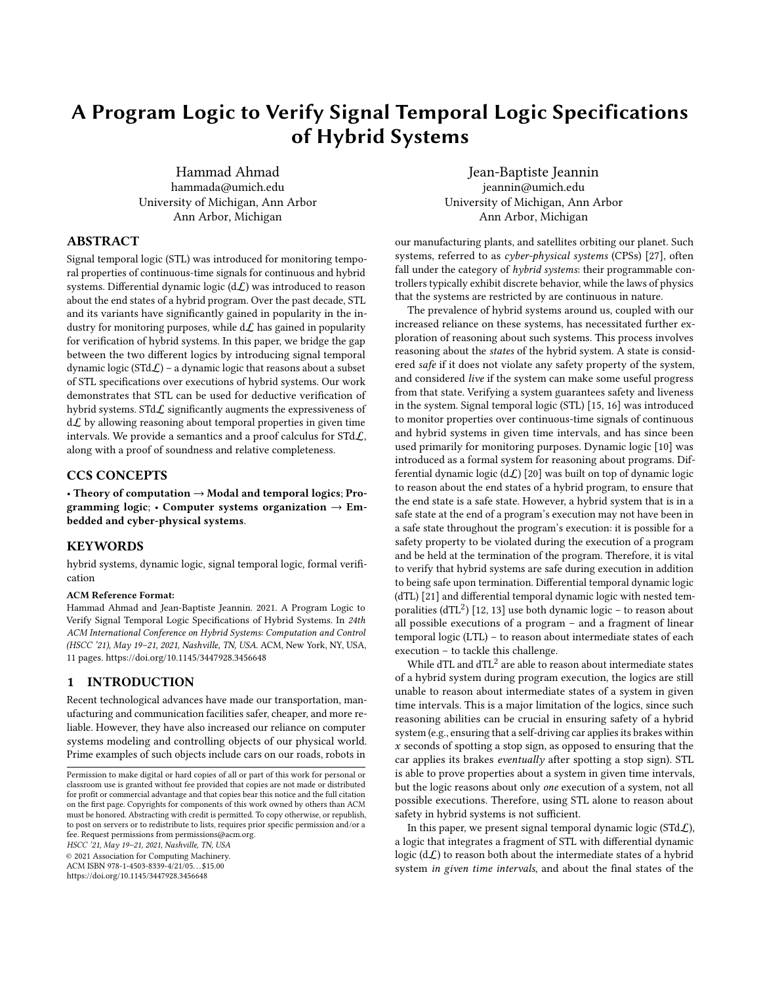# A Program Logic to Verify Signal Temporal Logic Specifications of Hybrid Systems

Hammad Ahmad hammada@umich.edu University of Michigan, Ann Arbor Ann Arbor, Michigan

Jean-Baptiste Jeannin jeannin@umich.edu University of Michigan, Ann Arbor Ann Arbor, Michigan

# ABSTRACT

Signal temporal logic (STL) was introduced for monitoring temporal properties of continuous-time signals for continuous and hybrid systems. Differential dynamic logic  $(d\mathcal{L})$  was introduced to reason about the end states of a hybrid program. Over the past decade, STL and its variants have significantly gained in popularity in the industry for monitoring purposes, while  $d\mathcal{L}$  has gained in popularity for verification of hybrid systems. In this paper, we bridge the gap between the two different logics by introducing signal temporal dynamic logic ( $STd\mathcal{L}$ ) – a dynamic logic that reasons about a subset of STL specifications over executions of hybrid systems. Our work demonstrates that STL can be used for deductive verification of hybrid systems. STd $\mathcal L$  significantly augments the expressiveness of  $d\mathcal{L}$  by allowing reasoning about temporal properties in given time intervals. We provide a semantics and a proof calculus for  $STdL$ , along with a proof of soundness and relative completeness.

### CCS CONCEPTS

• Theory of computation  $\rightarrow$  Modal and temporal logics; Programming logic; • Computer systems organization  $\rightarrow$  Embedded and cyber-physical systems.

# KEYWORDS

hybrid systems, dynamic logic, signal temporal logic, formal verification

#### ACM Reference Format:

Hammad Ahmad and Jean-Baptiste Jeannin. 2021. A Program Logic to Verify Signal Temporal Logic Specifications of Hybrid Systems. In 24th ACM International Conference on Hybrid Systems: Computation and Control (HSCC '21), May 19–21, 2021, Nashville, TN, USA. ACM, New York, NY, USA, [11](#page-10-0) pages.<https://doi.org/10.1145/3447928.3456648>

# <span id="page-0-0"></span>1 INTRODUCTION

Recent technological advances have made our transportation, manufacturing and communication facilities safer, cheaper, and more reliable. However, they have also increased our reliance on computer systems modeling and controlling objects of our physical world. Prime examples of such objects include cars on our roads, robots in

HSCC '21, May 19–21, 2021, Nashville, TN, USA

© 2021 Association for Computing Machinery.

ACM ISBN 978-1-4503-8339-4/21/05. . . \$15.00

<https://doi.org/10.1145/3447928.3456648>

our manufacturing plants, and satellites orbiting our planet. Such systems, referred to as cyber-physical systems (CPSs) [\[27\]](#page-10-1), often fall under the category of  $h$ *ybrid systems*: their programmable controllers typically exhibit discrete behavior, while the laws of physics that the systems are restricted by are continuous in nature.

The prevalence of hybrid systems around us, coupled with our increased reliance on these systems, has necessitated further exploration of reasoning about such systems. This process involves reasoning about the states of the hybrid system. A state is considered safe if it does not violate any safety property of the system, and considered live if the system can make some useful progress from that state. Verifying a system guarantees safety and liveness in the system. Signal temporal logic (STL) [\[15,](#page-10-2) [16\]](#page-10-3) was introduced to monitor properties over continuous-time signals of continuous and hybrid systems in given time intervals, and has since been used primarily for monitoring purposes. Dynamic logic [\[10\]](#page-10-4) was introduced as a formal system for reasoning about programs. Differential dynamic logic  $(d\mathcal{L})$  [\[20\]](#page-10-5) was built on top of dynamic logic to reason about the end states of a hybrid program, to ensure that the end state is a safe state. However, a hybrid system that is in a safe state at the end of a program's execution may not have been in a safe state throughout the program's execution: it is possible for a safety property to be violated during the execution of a program and be held at the termination of the program. Therefore, it is vital to verify that hybrid systems are safe during execution in addition to being safe upon termination. Differential temporal dynamic logic (dTL) [\[21\]](#page-10-6) and differential temporal dynamic logic with nested tem- $\frac{1}{2}$  poralities (dTL<sup>2</sup>) [\[12,](#page-10-7) [13\]](#page-10-8) use both dynamic logic – to reason about all possible executions of a program – and a fragment of linear temporal logic (LTL) – to reason about intermediate states of each execution – to tackle this challenge.

While dTL and dTL $^2$  are able to reason about intermediate states of a hybrid system during program execution, the logics are still unable to reason about intermediate states of a system in given time intervals. This is a major limitation of the logics, since such reasoning abilities can be crucial in ensuring safety of a hybrid system (e.g., ensuring that a self-driving car applies its brakes within  $x$  seconds of spotting a stop sign, as opposed to ensuring that the car applies its brakes eventually after spotting a stop sign). STL is able to prove properties about a system in given time intervals, but the logic reasons about only one execution of a system, not all possible executions. Therefore, using STL alone to reason about safety in hybrid systems is not sufficient.

In this paper, we present signal temporal dynamic logic (STd $\mathcal{L}$ ), a logic that integrates a fragment of STL with differential dynamic logic  $(d\mathcal{L})$  to reason both about the intermediate states of a hybrid system in given time intervals, and about the final states of the

Permission to make digital or hard copies of all or part of this work for personal or classroom use is granted without fee provided that copies are not made or distributed for profit or commercial advantage and that copies bear this notice and the full citation on the first page. Copyrights for components of this work owned by others than ACM must be honored. Abstracting with credit is permitted. To copy otherwise, or republish, to post on servers or to redistribute to lists, requires prior specific permission and/or a fee. Request permissions from permissions@acm.org.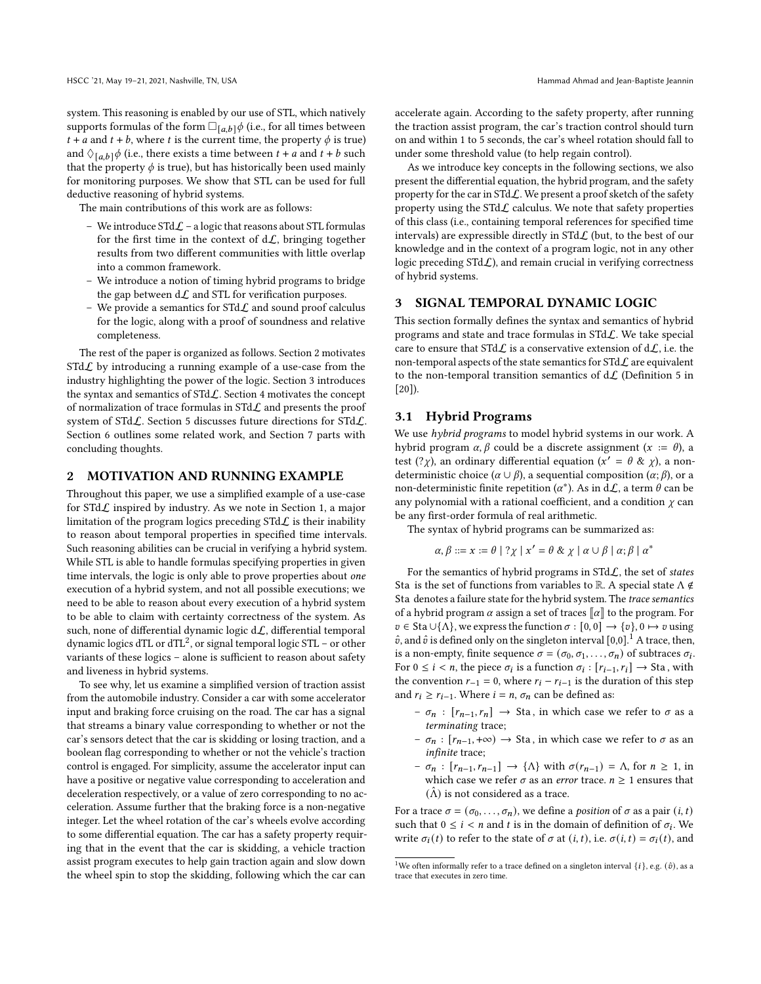system. This reasoning is enabled by our use of STL, which natively supports formulas of the form  $\Box_{[a,b]} \phi$  (i.e., for all times between  $t + a$  and  $t + b$ , where  $t$  is the current time, the property  $\phi$  is true) and  $\Diamond$ <sub>[a,b]</sub> $\phi$  (i.e., there exists a time between  $t + a$  and  $t + b$  such that the property  $\phi$  is true), but has historically been used mainly for monitoring purposes. We show that STL can be used for full deductive reasoning of hybrid systems.

The main contributions of this work are as follows:

- We introduce  $STd\mathcal{L}$  a logic that reasons about STL formulas for the first time in the context of  $d\mathcal{L}$ , bringing together results from two different communities with little overlap into a common framework.
- We introduce a notion of timing hybrid programs to bridge the gap between  $d\mathcal{L}$  and STL for verification purposes.
- We provide a semantics for STd $\mathcal L$  and sound proof calculus for the logic, along with a proof of soundness and relative completeness.

The rest of the paper is organized as follows. Section [2](#page-1-0) motivates  $STdL$  by introducing a running example of a use-case from the industry highlighting the power of the logic. Section [3](#page-1-1) introduces the syntax and semantics of  $STdL$ . Section [4](#page-4-0) motivates the concept of normalization of trace formulas in  $STdL$  and presents the proof system of STdL. Section [5](#page-9-0) discusses future directions for STdL. Section [6](#page-9-1) outlines some related work, and Section [7](#page-9-2) parts with concluding thoughts.

### <span id="page-1-0"></span>2 MOTIVATION AND RUNNING EXAMPLE

Throughout this paper, we use a simplified example of a use-case for  $STdL$  inspired by industry. As we note in Section [1,](#page-0-0) a major limitation of the program logics preceding  $STd\mathcal{L}$  is their inability to reason about temporal properties in specified time intervals. Such reasoning abilities can be crucial in verifying a hybrid system. While STL is able to handle formulas specifying properties in given time intervals, the logic is only able to prove properties about one execution of a hybrid system, and not all possible executions; we need to be able to reason about every execution of a hybrid system to be able to claim with certainty correctness of the system. As such, none of differential dynamic logic  $d\mathcal{L}$ , differential temporal dynamic logics dTL or dTL<sup>2</sup>, or signal temporal logic STL – or other variants of these logics – alone is sufficient to reason about safety and liveness in hybrid systems.

To see why, let us examine a simplified version of traction assist from the automobile industry. Consider a car with some accelerator input and braking force cruising on the road. The car has a signal that streams a binary value corresponding to whether or not the car's sensors detect that the car is skidding or losing traction, and a boolean flag corresponding to whether or not the vehicle's traction control is engaged. For simplicity, assume the accelerator input can have a positive or negative value corresponding to acceleration and deceleration respectively, or a value of zero corresponding to no acceleration. Assume further that the braking force is a non-negative integer. Let the wheel rotation of the car's wheels evolve according to some differential equation. The car has a safety property requiring that in the event that the car is skidding, a vehicle traction assist program executes to help gain traction again and slow down the wheel spin to stop the skidding, following which the car can

accelerate again. According to the safety property, after running the traction assist program, the car's traction control should turn on and within 1 to 5 seconds, the car's wheel rotation should fall to under some threshold value (to help regain control).

As we introduce key concepts in the following sections, we also present the differential equation, the hybrid program, and the safety property for the car in STd $\mathcal{L}$ . We present a proof sketch of the safety property using the STd $\mathcal L$  calculus. We note that safety properties of this class (i.e., containing temporal references for specified time intervals) are expressible directly in  $STd\mathcal{L}$  (but, to the best of our knowledge and in the context of a program logic, not in any other logic preceding  $STdL$ ), and remain crucial in verifying correctness of hybrid systems.

# <span id="page-1-1"></span>3 SIGNAL TEMPORAL DYNAMIC LOGIC

This section formally defines the syntax and semantics of hybrid programs and state and trace formulas in STdL. We take special care to ensure that STd $\mathcal{L}$  is a conservative extension of d $\mathcal{L}$ , i.e. the non-temporal aspects of the state semantics for  $\text{STd}\mathcal{L}$  are equivalent to the non-temporal transition semantics of  $d\mathcal{L}$  (Definition 5 in [\[20\]](#page-10-5)).

### 3.1 Hybrid Programs

We use hybrid programs to model hybrid systems in our work. A hybrid program  $\alpha$ ,  $\beta$  could be a discrete assignment ( $x := \theta$ ), a test  $(?\chi)$ , an ordinary differential equation  $(x' = \theta \& \chi)$ , a nondeterministic choice ( $\alpha \cup \beta$ ), a sequential composition ( $\alpha$ ;  $\beta$ ), or a non-deterministic finite repetition  $(\alpha^*)$ . As in  $d\mathcal{L}$ , a term  $\theta$  can be any polynomial with a rational coefficient, and a condition  $\chi$  can be any first-order formula of real arithmetic.

The syntax of hybrid programs can be summarized as:

$$
\alpha, \beta ::= x := \theta \mid ?\chi \mid x' = \theta \& \chi \mid \alpha \cup \beta \mid \alpha; \beta \mid \alpha^*
$$

For the semantics of hybrid programs in  $STdL$ , the set of states Sta is the set of functions from variables to  $\mathbb R$ . A special state  $\Lambda \notin$ Sta denotes a failure state for the hybrid system. The trace semantics of a hybrid program  $\alpha$  assign a set of traces  $\llbracket \alpha \rrbracket$  to the program. For  $v \in Stab \cup \{\Lambda\}$ , we express the function  $\sigma : [0, 0] \to \{v\}$ ,  $0 \mapsto v$  using  $\hat{v}$ , and  $\hat{v}$  is defined only on the singleton interval [0,0].<sup>[1](#page-1-2)</sup> A trace, then, is a non-empty, finite sequence  $\sigma = (\sigma_0, \sigma_1, \ldots, \sigma_n)$  of subtraces  $\sigma_i$ . For  $0 \le i < n$ , the piece  $\sigma_i$  is a function  $\sigma_i : [r_{i-1}, r_i] \rightarrow Sta$ , with the convention  $r_{-1} = 0$ , where  $r_i - r_{i-1}$  is the duration of this step and  $r_i \ge r_{i-1}$ . Where  $i = n$ ,  $\sigma_n$  can be defined as:

- $\sigma_n$  : [ $r_{n-1}, r_n$ ] → Sta, in which case we refer to  $\sigma$  as a terminating trace;
- $\sigma_n$ : [ $r_{n-1}$ , +∞) → Sta, in which case we refer to σ as an infinite trace;
- $\sigma_n : [r_{n-1}, r_{n-1}] \rightarrow {\{\Lambda\}}$  with  $\sigma(r_{n-1}) = \Lambda$ , for  $n \ge 1$ , in which case we refer  $\sigma$  as an *error* trace.  $n \geq 1$  ensures that  $(\hat{\Lambda})$  is not considered as a trace.

For a trace  $\sigma = (\sigma_0, \ldots, \sigma_n)$ , we define a *position* of  $\sigma$  as a pair  $(i, t)$ such that  $0 \le i < n$  and t is in the domain of definition of  $\sigma_i$ . We write  $\sigma_i(t)$  to refer to the state of  $\sigma$  at  $(i, t)$ , i.e.  $\sigma(i, t) = \sigma_i(t)$ , and

<span id="page-1-2"></span> $^1\rm{We}$  often informally refer to a trace defined on a singleton interval  $\{i\},$ e.g.  $(\hat{v}),$  as a trace that executes in zero time.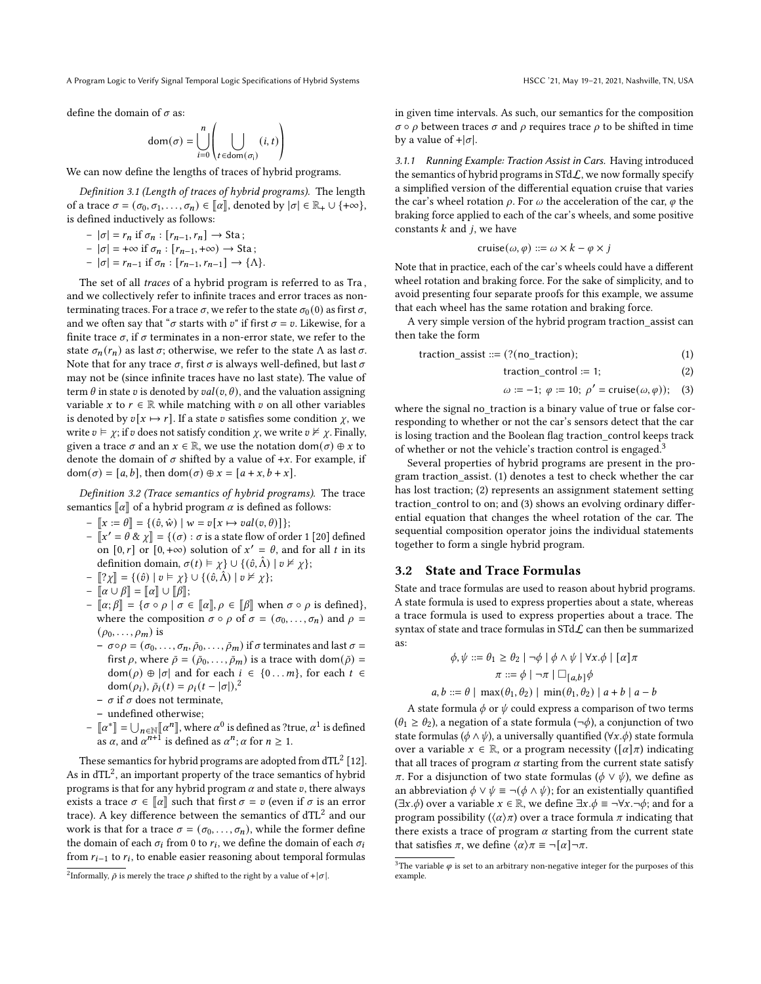define the domain of  $\sigma$  as:

$$
\text{dom}(\sigma) = \bigcup_{i=0}^{n} \left( \bigcup_{t \in \text{dom}(\sigma_i)} (i, t) \right)
$$

We can now define the lengths of traces of hybrid programs.

Definition 3.1 (Length of traces of hybrid programs). The length of a trace  $\sigma = (\sigma_0, \sigma_1, \ldots, \sigma_n) \in [\![\alpha]\!]$ , denoted by  $|\sigma| \in \mathbb{R}_+ \cup \{+\infty\}$ , is defined inductively as follows:

 $- |\sigma| = r_n$  if  $\sigma_n : [r_{n-1}, r_n] \rightarrow$  Sta;

$$
- |\sigma| = +\infty \text{ if } \sigma_n : [r_{n-1}, +\infty) \to \text{Sta};
$$

$$
- |\sigma| = r_{n-1} \text{ if } \sigma_n : [r_{n-1}, r_{n-1}] \rightarrow \{\Lambda\}.
$$

The set of all traces of a hybrid program is referred to as Tra , and we collectively refer to infinite traces and error traces as nonterminating traces. For a trace  $\sigma$ , we refer to the state  $\sigma_0$  (0) as first  $\sigma$ , and we often say that " $\sigma$  starts with  $v$ " if first  $\sigma = v$ . Likewise, for a finite trace  $\sigma$ , if  $\sigma$  terminates in a non-error state, we refer to the state  $\sigma_n(r_n)$  as last  $\sigma$ ; otherwise, we refer to the state  $\Lambda$  as last  $\sigma$ . Note that for any trace  $\sigma$ , first  $\sigma$  is always well-defined, but last  $\sigma$ may not be (since infinite traces have no last state). The value of term  $\theta$  in state v is denoted by  $val(v, \theta)$ , and the valuation assigning variable x to  $r \in \mathbb{R}$  while matching with v on all other variables is denoted by  $v[x \mapsto r]$ . If a state v satisfies some condition  $\gamma$ , we write  $v \models \chi$ ; if v does not satisfy condition  $\chi$ , we write  $v \not\models \chi$ . Finally, given a trace  $\sigma$  and an  $x \in \mathbb{R}$ , we use the notation dom $(\sigma) \oplus x$  to denote the domain of  $\sigma$  shifted by a value of +x. For example, if  $dom(\sigma) = [a, b]$ , then  $dom(\sigma) \oplus x = [a + x, b + x]$ .

Definition 3.2 (Trace semantics of hybrid programs). The trace semantics  $\llbracket \alpha \rrbracket$  of a hybrid program  $\alpha$  is defined as follows:

- $\Vert x := \theta \Vert = \{(\hat{v}, \hat{w}) \mid w = v[x \mapsto val(v, \theta)]\};$
- $\[\mathbf{x}' = \theta \& \chi\] = \{(\sigma) : \sigma \text{ is a state flow of order 1 [20] defined} \]$  $\[\mathbf{x}' = \theta \& \chi\] = \{(\sigma) : \sigma \text{ is a state flow of order 1 [20] defined} \]$  $\[\mathbf{x}' = \theta \& \chi\] = \{(\sigma) : \sigma \text{ is a state flow of order 1 [20] defined} \]$ on [0, r] or  $[0, +\infty)$  solution of  $x' = \theta$ , and for all t in its definition domain,  $\sigma(t) \models \chi$   $\cup$   $\{(\hat{v}, \hat{\Lambda}) \mid v \nvDash \chi\};$
- [[? $\chi$ ] = {(∂) |  $v \vDash \chi$ } ∪ {(∂,  $\hat{\Lambda}$ ) |  $v \nvDash \chi$ };
- $\left[ \alpha \cup \beta \right] = \left[ \alpha \right] \cup \left[ \beta \right];$
- $\left[\alpha;\beta\right]$  = { $\sigma \circ \rho$  |  $\sigma \in \left[\alpha\right], \rho \in \left[\beta\right]$  when  $\sigma \circ \rho$  is defined}, where the composition  $\sigma \circ \rho$  of  $\sigma = (\sigma_0, \ldots, \sigma_n)$  and  $\rho =$  $(\rho_0, \ldots, \rho_m)$  is
	- $\sigma = \sigma \circ \rho = (\sigma_0, \ldots, \sigma_n, \bar{\rho}_0, \ldots, \bar{\rho}_m)$  if  $\sigma$  terminates and last  $\sigma =$ first  $\rho$ , where  $\bar{\rho} = (\bar{\rho}_0, \dots, \bar{\rho}_m)$  is a trace with dom $(\bar{\rho})$  =  $dom(\rho) \oplus |\sigma|$  and for each  $i \in \{0 \dots m\}$ , for each  $t \in$ dom $(\rho_i)$ ,  $\bar{\rho}_i(t) = \rho_i(t - |\sigma|)^2$  $\bar{\rho}_i(t) = \rho_i(t - |\sigma|)^2$
	- $\sigma$  if  $\sigma$  does not terminate.
	- undefined otherwise;
- $\begin{bmatrix} \alpha^* \end{bmatrix} = \bigcup_{n \in \mathbb{N}} [\alpha^n]$ , where  $\alpha^0$  is defined as ?true,  $\alpha^1$  is defined as  $\alpha$ , and  $\alpha^{n+1}$  is defined as  $\alpha^n$ ;  $\alpha$  for  $n \ge 1$ .

These semantics for hybrid programs are adopted from  $dTL^2$  [\[12\]](#page-10-7). As in  $dTL^2$ , an important property of the trace semantics of hybrid programs is that for any hybrid program  $\alpha$  and state  $v$ , there always exists a trace  $\sigma \in \llbracket \alpha \rrbracket$  such that first  $\sigma = v$  (even if  $\sigma$  is an error trace). A key difference between the semantics of  $dTL^2$  and our work is that for a trace  $\sigma = (\sigma_0, \ldots, \sigma_n)$ , while the former define the domain of each  $\sigma_i$  from 0 to  $r_i$ , we define the domain of each  $\sigma_i$ from  $r_{i-1}$  to  $r_i$ , to enable easier reasoning about temporal formulas

in given time intervals. As such, our semantics for the composition  $\sigma \circ \rho$  between traces  $\sigma$  and  $\rho$  requires trace  $\rho$  to be shifted in time by a value of  $+|\sigma|$ .

3.1.1 Running Example: Traction Assist in Cars. Having introduced the semantics of hybrid programs in  $\text{STd}\mathcal{L}$ , we now formally specify a simplified version of the differential equation cruise that varies the car's wheel rotation  $\rho$ . For  $\omega$  the acceleration of the car,  $\varphi$  the braking force applied to each of the car's wheels, and some positive constants  $k$  and  $j$ , we have

cruise(
$$
\omega
$$
,  $\varphi$ ) ::=  $\omega \times k - \varphi \times j$ 

Note that in practice, each of the car's wheels could have a different wheel rotation and braking force. For the sake of simplicity, and to avoid presenting four separate proofs for this example, we assume that each wheel has the same rotation and braking force.

A very simple version of the hybrid program traction\_assist can then take the form

$$
traction\_assist ::= (?(no\_traction); \qquad (1)
$$

$$
traction\_control := 1; \tag{2}
$$

$$
\omega := -1; \ \varphi := 10; \ \rho' = \text{cruise}(\omega, \varphi)); \quad (3)
$$

where the signal no\_traction is a binary value of true or false corresponding to whether or not the car's sensors detect that the car is losing traction and the Boolean flag traction\_control keeps track of whether or not the vehicle's traction control is engaged.<sup>[3](#page-2-1)</sup>

Several properties of hybrid programs are present in the program traction\_assist. (1) denotes a test to check whether the car has lost traction; (2) represents an assignment statement setting traction\_control to on; and (3) shows an evolving ordinary differential equation that changes the wheel rotation of the car. The sequential composition operator joins the individual statements together to form a single hybrid program.

## 3.2 State and Trace Formulas

State and trace formulas are used to reason about hybrid programs. A state formula is used to express properties about a state, whereas a trace formula is used to express properties about a trace. The syntax of state and trace formulas in STd $\mathcal L$  can then be summarized as:

$$
\phi, \psi ::= \theta_1 \ge \theta_2 \mid \neg \phi \mid \phi \land \psi \mid \forall x. \phi \mid [\alpha] \pi
$$

$$
\pi ::= \phi \mid \neg \pi \mid \Box_{[a,b]} \phi
$$

$$
a, b ::= \theta \mid \max(\theta_1, \theta_2) \mid \min(\theta_1, \theta_2) \mid a + b \mid a - b
$$

A state formula  $\phi$  or  $\psi$  could express a comparison of two terms  $(\theta_1 \ge \theta_2)$ , a negation of a state formula  $(\neg \phi)$ , a conjunction of two state formulas ( $\phi \land \psi$ ), a universally quantified ( $\forall x.\phi$ ) state formula over a variable  $x \in \mathbb{R}$ , or a program necessity ( $\lceil \alpha \rceil \pi$ ) indicating that all traces of program  $\alpha$  starting from the current state satisfy  $\pi$ . For a disjunction of two state formulas ( $\phi \lor \psi$ ), we define as an abbreviation  $\phi \lor \psi \equiv \neg(\phi \land \psi)$ ; for an existentially quantified  $(\exists x.\phi)$  over a variable  $x \in \mathbb{R}$ , we define  $\exists x.\phi \equiv \neg \forall x.\neg \phi$ ; and for a program possibility ( $\langle \alpha \rangle \pi$ ) over a trace formula  $\pi$  indicating that there exists a trace of program  $\alpha$  starting from the current state that satisfies  $\pi$ , we define  $\langle \alpha \rangle \pi \equiv \neg[\alpha] \neg \pi$ .

<span id="page-2-0"></span><sup>&</sup>lt;sup>2</sup>Informally,  $\bar{\rho}$  is merely the trace  $\rho$  shifted to the right by a value of + | $\sigma$ |.

<span id="page-2-1"></span> $^3$  The variable  $\varphi$  is set to an arbitrary non-negative integer for the purposes of this example.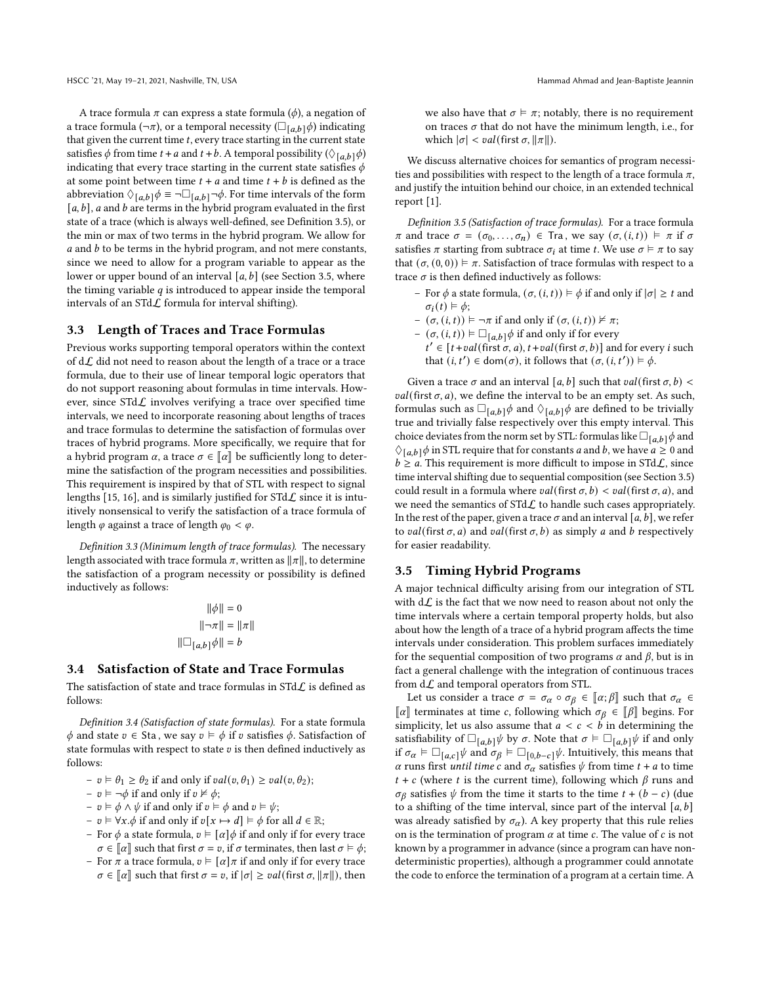A trace formula  $\pi$  can express a state formula ( $\phi$ ), a negation of a trace formula ( $\neg \pi$ ), or a temporal necessity ( $\square_{[a,b]} \phi$ ) indicating that given the current time  $t$ , every trace starting in the current state satisfies  $\phi$  from time  $t + a$  and  $t + b$ . A temporal possibility ( $\Diamond$ <sub>[a,b]</sub> $\phi$ ) indicating that every trace starting in the current state satisfies  $\phi$ at some point between time  $t + a$  and time  $t + b$  is defined as the abbreviation  $\Diamond_{[a,b]}\phi \equiv \neg \Box_{[a,b]} \neg \phi$ . For time intervals of the form  $[a, b]$ , a and b are terms in the hybrid program evaluated in the first state of a trace (which is always well-defined, see Definition [3.5\)](#page-3-0), or the min or max of two terms in the hybrid program. We allow for  $a$  and  $b$  to be terms in the hybrid program, and not mere constants, since we need to allow for a program variable to appear as the lower or upper bound of an interval  $[a, b]$  (see Section [3.5,](#page-3-1) where the timing variable  $q$  is introduced to appear inside the temporal intervals of an  $STd\mathcal{L}$  formula for interval shifting).

## 3.3 Length of Traces and Trace Formulas

Previous works supporting temporal operators within the context of  $d\mathcal{L}$  did not need to reason about the length of a trace or a trace formula, due to their use of linear temporal logic operators that do not support reasoning about formulas in time intervals. However, since  $STdL$  involves verifying a trace over specified time intervals, we need to incorporate reasoning about lengths of traces and trace formulas to determine the satisfaction of formulas over traces of hybrid programs. More specifically, we require that for a hybrid program  $\alpha$ , a trace  $\sigma \in \llbracket \alpha \rrbracket$  be sufficiently long to determine the satisfaction of the program necessities and possibilities. This requirement is inspired by that of STL with respect to signal lengths [\[15,](#page-10-2) [16\]](#page-10-3), and is similarly justified for  $STd\mathcal{L}$  since it is intuitively nonsensical to verify the satisfaction of a trace formula of length  $\varphi$  against a trace of length  $\varphi_0 < \varphi$ .

Definition 3.3 (Minimum length of trace formulas). The necessary length associated with trace formula  $\pi$ , written as  $||\pi||$ , to determine the satisfaction of a program necessity or possibility is defined inductively as follows:

$$
\|\phi\| = 0
$$

$$
\|\neg \pi\| = \|\pi\|
$$

$$
\|\Box_{[a,b]}\phi\| = b
$$

# 3.4 Satisfaction of State and Trace Formulas

The satisfaction of state and trace formulas in  $STdL$  is defined as follows:

<span id="page-3-2"></span>Definition 3.4 (Satisfaction of state formulas). For a state formula  $\phi$  and state  $v \in$  Sta, we say  $v \vDash \phi$  if  $v$  satisfies  $\phi$ . Satisfaction of state formulas with respect to state  $v$  is then defined inductively as follows:

- $-v \vDash \theta_1 \ge \theta_2$  if and only if  $val(v, \theta_1) \ge val(v, \theta_2);$
- $v \vDash \neg \phi$  if and only if  $v \nvDash \phi$ ;
- $v \vDash \phi \land \psi$  if and only if  $v \vDash \phi$  and  $v \vDash \psi$ ;
- $v \vDash \forall x.\phi$  if and only if  $v[x \mapsto d] \vDash \phi$  for all  $d \in \mathbb{R}$ ;
- For  $\phi$  a state formula,  $v \vDash [\alpha]\phi$  if and only if for every trace  $\sigma \in \llbracket \alpha \rrbracket$  such that first  $\sigma = v$ , if  $\sigma$  terminates, then last  $\sigma \models \phi$ ;
- For  $\pi$  a trace formula,  $v \vDash [\alpha] \pi$  if and only if for every trace  $\sigma \in \llbracket \alpha \rrbracket$  such that first  $\sigma = v$ , if  $|\sigma| \geq val(\text{first } \sigma, \llbracket \pi \rrbracket)$ , then

we also have that  $\sigma \models \pi$ ; notably, there is no requirement on traces  $\sigma$  that do not have the minimum length, i.e., for which  $|\sigma| < \nu a l$  (first  $\sigma, ||\pi||$ ).

We discuss alternative choices for semantics of program necessities and possibilities with respect to the length of a trace formula  $\pi$ , and justify the intuition behind our choice, in an extended technical report [\[1\]](#page-10-9).

<span id="page-3-0"></span>Definition 3.5 (Satisfaction of trace formulas). For a trace formula  $\pi$  and trace  $\sigma = (\sigma_0, \ldots, \sigma_n) \in \text{Tra}$ , we say  $(\sigma, (i, t)) \models \pi$  if  $\sigma$ satisfies  $\pi$  starting from subtrace  $\sigma_i$  at time t. We use  $\sigma \models \pi$  to say that  $(\sigma, (0, 0)) \models \pi$ . Satisfaction of trace formulas with respect to a trace  $\sigma$  is then defined inductively as follows:

- For  $\phi$  a state formula,  $(\sigma, (i, t)) \models \phi$  if and only if  $|\sigma| \geq t$  and  $\sigma_i(t) \models \phi;$
- $(\sigma, (i, t)) \models \neg \pi$  if and only if  $(\sigma, (i, t)) \not\vDash \pi$ ;
- (σ, (*i*, *t*)) ⊨  $□$ <sub>[*a*,*b*] $\phi$  if and only if for every</sub>  $t' \in [t+val(\text{first }\sigma, a), t+val(\text{first }\sigma, b)]$  and for every *i* such that  $(i, t') \in \text{dom}(\sigma)$ , it follows that  $(\sigma, (i, t')) \models \phi$ .

Given a trace  $\sigma$  and an interval [a, b] such that val(first  $\sigma$ , b) <  $val(first \sigma, a)$ , we define the interval to be an empty set. As such, formulas such as  $\Box_{[a,b]} \phi$  and  $\Diamond_{[a,b]} \phi$  are defined to be trivially true and trivially false respectively over this empty interval. This choice deviates from the norm set by STL: formulas like  $\Box_{[a,b]}\phi$  and  $\Diamond_{[a,b]} \phi$  in STL require that for constants *a* and *b*, we have  $a \ge 0$  and  $b \ge a$ . This requirement is more difficult to impose in STd $\mathcal{L}$ , since time interval shifting due to sequential composition (see Section [3.5\)](#page-3-1) could result in a formula where  $val(first \sigma, b) < val(first \sigma, a)$ , and we need the semantics of  $STd\mathcal{L}$  to handle such cases appropriately. In the rest of the paper, given a trace  $\sigma$  and an interval [a, b], we refer to val(first  $\sigma$ , a) and val(first  $\sigma$ , b) as simply a and b respectively for easier readability.

# <span id="page-3-1"></span>3.5 Timing Hybrid Programs

A major technical difficulty arising from our integration of STL with  $d\mathcal{L}$  is the fact that we now need to reason about not only the time intervals where a certain temporal property holds, but also about how the length of a trace of a hybrid program affects the time intervals under consideration. This problem surfaces immediately for the sequential composition of two programs  $\alpha$  and  $\beta$ , but is in fact a general challenge with the integration of continuous traces from  $d\mathcal{L}$  and temporal operators from STL.

Let us consider a trace  $\sigma = \sigma_{\alpha} \circ \sigma_{\beta} \in [\alpha; \beta]$  such that  $\sigma_{\alpha} \in$  $\lceil \alpha \rceil$  terminates at time *c*, following which  $\sigma_\beta$  ∈  $\lceil \beta \rceil$  begins. For simplicity, let us also assume that  $a < c < b$  in determining the satisfiability of  $\Box_{[a,b]} \psi$  by  $\sigma$ . Note that  $\sigma \models \Box_{[a,b]} \psi$  if and only if  $\sigma_{\alpha} \models \Box_{[a,c]} \psi$  and  $\sigma_{\beta} \models \Box_{[0,b-c]} \psi$ . Intuitively, this means that  $\alpha$  runs first *until time c* and  $\sigma_{\alpha}$  satisfies  $\psi$  from time  $t + a$  to time  $t + c$  (where t is the current time), following which  $\beta$  runs and  $\sigma_{\beta}$  satisfies  $\psi$  from the time it starts to the time  $t + (b - c)$  (due to a shifting of the time interval, since part of the interval  $[a, b]$ was already satisfied by  $\sigma_{\alpha}$ ). A key property that this rule relies on is the termination of program  $\alpha$  at time  $c$ . The value of  $c$  is not known by a programmer in advance (since a program can have nondeterministic properties), although a programmer could annotate the code to enforce the termination of a program at a certain time. A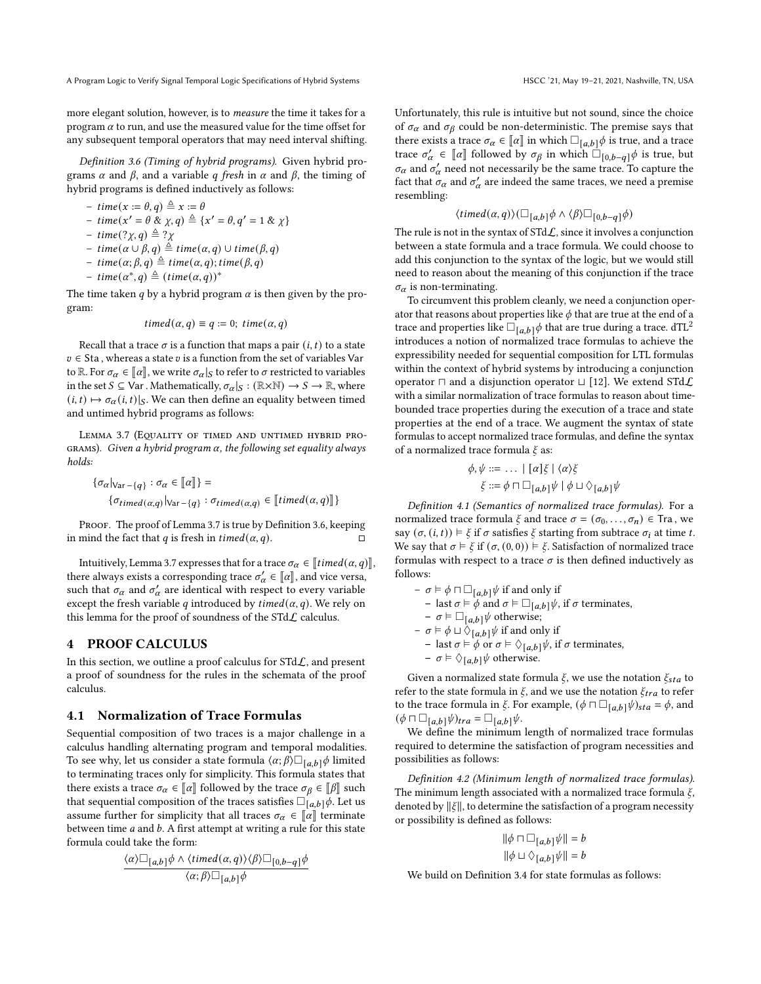more elegant solution, however, is to measure the time it takes for a program  $\alpha$  to run, and use the measured value for the time offset for any subsequent temporal operators that may need interval shifting.

<span id="page-4-2"></span>Definition 3.6 (Timing of hybrid programs). Given hybrid programs  $\alpha$  and  $\beta$ , and a variable q fresh in  $\alpha$  and  $\beta$ , the timing of hybrid programs is defined inductively as follows:

$$
-time(x := \theta, q) \triangleq x := \theta
$$

$$
- \, time(x' = \theta \, \& \chi, q) \triangleq \{x' = \theta, q' = 1 \, \& \chi\}
$$

- $time(?χ,q) ≝ ?χ$
- $time(α ∪ β, q) \triangleq time(α, q) ∪ time(β, q)$
- $-$  time $(\alpha; \beta, q) \triangleq$  time $(\alpha, q)$ ; time $(\beta, q)$
- $-$  time $(\alpha^*, q) \triangleq (time(\alpha, q))^*$

The time taken  $q$  by a hybrid program  $\alpha$  is then given by the program:

$$
timed(\alpha, q) \equiv q := 0; \, time(\alpha, q)
$$

Recall that a trace  $\sigma$  is a function that maps a pair  $(i, t)$  to a state  $v \in$  Sta, whereas a state  $v$  is a function from the set of variables Var to  $\mathbb R.$  For  $\sigma_\alpha \in [\![\alpha]\!]$  , we write  $\sigma_\alpha|_S$  to refer to  $\sigma$  restricted to variables in the set  $S \subseteq \text{Var}$ . Mathematically,  $\sigma_{\alpha}|_S : (\mathbb{R} \times \mathbb{N}) \to S \to \mathbb{R}$ , where  $(i, t) \mapsto \sigma_\alpha(i, t)|_S$ . We can then define an equality between timed and untimed hybrid programs as follows:

<span id="page-4-1"></span>LEMMA 3.7 (EQUALITY OF TIMED AND UNTIMED HYBRID PRO-GRAMS). Given a hybrid program  $\alpha$ , the following set equality always holds:

$$
\{\sigma_{\alpha}\}_{\forall \alpha \vdash \{q\}} : \sigma_{\alpha} \in [\![\alpha]\!] \} =
$$

$$
\{\sigma_{timed(\alpha,q)}\}_{\forall \alpha \vdash \{q\}} : \sigma_{timed(\alpha,q)} \in [\![\mathit{timed}(\alpha,q)]\!] \}
$$

PROOF. The proof of Lemma [3.7](#page-4-1) is true by Definition [3.6,](#page-4-2) keeping in mind the fact that q is fresh in  $\mathit{timed}(a, q)$ .

Intuitively, Lemma [3.7](#page-4-1) expresses that for a trace  $\sigma_{\alpha} \in \llbracket \text{timed}(\alpha, q) \rrbracket$ there always exists a corresponding trace  $\sigma'_{\alpha} \in [\alpha]$ , and vice versa, such that  $\sigma_{\alpha}$  and  $\sigma'_{\alpha}$  are identical with respect to every variable except the fresh variable q introduced by  $timed(\alpha, q)$ . We rely on this lemma for the proof of soundness of the STd $\mathcal L$  calculus.

# <span id="page-4-0"></span>4 PROOF CALCULUS

In this section, we outline a proof calculus for  $STdL$ , and present a proof of soundness for the rules in the schemata of the proof calculus.

# <span id="page-4-4"></span>4.1 Normalization of Trace Formulas

Sequential composition of two traces is a major challenge in a calculus handling alternating program and temporal modalities. To see why, let us consider a state formula  $\langle \alpha; \beta \rangle \Box_{[a,b]} \phi$  limited to terminating traces only for simplicity. This formula states that there exists a trace  $\sigma_{\alpha} \in \llbracket \alpha \rrbracket$  followed by the trace  $\sigma_{\beta} \in \llbracket \beta \rrbracket$  such that sequential composition of the traces satisfies  $\square_{[a,b]} \phi$ . Let us assume further for simplicity that all traces  $\sigma_{\alpha} \in \llbracket \alpha \rrbracket$  terminate between time  $a$  and  $b$ . A first attempt at writing a rule for this state formula could take the form:

$$
\frac{\langle\alpha\rangle\Box_{[a,b]}\phi\wedge\langle\mathit{timed}(\alpha,q)\rangle\langle\beta\rangle\Box_{[0,b-q]}\phi}{\langle\alpha;\beta\rangle\Box_{[a,b]}\phi}
$$

Unfortunately, this rule is intuitive but not sound, since the choice of  $\sigma_{\alpha}$  and  $\sigma_{\beta}$  could be non-deterministic. The premise says that there exists a trace  $\sigma_{\alpha} \in [\![\alpha]\!]$  in which  $\Box_{[a,b]} \phi$  is true, and a trace trace  $\sigma'_\alpha \in [\![\alpha]\!]$  followed by  $\sigma_\beta$  in which  $\square_{[0,b-q]}\phi$  is true, but  $\sigma_{\alpha}$  and  $\sigma'_{\alpha}$  need not necessarily be the same trace. To capture the fact that  $\sigma_{\alpha}$  and  $\sigma_{\alpha}^{\prime}$  are indeed the same traces, we need a premise resembling:

$$
\langle timed(\alpha, q) \rangle (\Box_{[a,b]} \phi \land \langle \beta \rangle \Box_{[0,b-q]} \phi)
$$

The rule is not in the syntax of  $STd\mathcal{L}$ , since it involves a conjunction between a state formula and a trace formula. We could choose to add this conjunction to the syntax of the logic, but we would still need to reason about the meaning of this conjunction if the trace  $\sigma_{\alpha}$  is non-terminating.

To circumvent this problem cleanly, we need a conjunction operator that reasons about properties like  $\phi$  that are true at the end of a trace and properties like  $\Box_{[a,b]} \phi$  that are true during a trace. dTL<sup>2</sup> introduces a notion of normalized trace formulas to achieve the expressibility needed for sequential composition for LTL formulas within the context of hybrid systems by introducing a conjunction operator  $□$  and a disjunction operator  $□$  [\[12\]](#page-10-7). We extend STd $L$ with a similar normalization of trace formulas to reason about timebounded trace properties during the execution of a trace and state properties at the end of a trace. We augment the syntax of state formulas to accept normalized trace formulas, and define the syntax of a normalized trace formula  $\xi$  as:

$$
\phi, \psi ::= \dots \mid [\alpha] \xi \mid \langle \alpha \rangle \xi
$$
  

$$
\xi ::= \phi \sqcap \Box_{[a,b]} \psi \mid \phi \sqcup \Diamond_{[a,b]} \psi
$$

<span id="page-4-3"></span>Definition 4.1 (Semantics of normalized trace formulas). For a normalized trace formula  $\xi$  and trace  $\sigma = (\sigma_0, \ldots, \sigma_n) \in \text{Tra }$ , we say  $(\sigma, (i, t)) \models \xi$  if  $\sigma$  satisfies  $\xi$  starting from subtrace  $\sigma_i$  at time t. We say that  $\sigma \models \xi$  if  $(\sigma, (0, 0)) \models \xi$ . Satisfaction of normalized trace formulas with respect to a trace  $\sigma$  is then defined inductively as follows:

–  $σ$  ⊨  $φ$  ⊓  $□_{[a,b]}$  $ψ$  if and only if – last *σ* ⊨  $\phi$  and *σ* ⊨ □<sub>[*a*,*b*]</sub> $\psi$ , if *σ* terminates, –  $\sigma \models \Box_{[a,b]} \psi$  otherwise; –  $σ$  ⊨  $φ ⊔ ∇[a,b]$   $\psi$  if and only if – last  $\sigma \models \phi$  or  $\sigma \models \Diamond_{[a,b]} \psi$ , if  $\sigma$  terminates,  $- \sigma \models \Diamond_{[a,b]} \psi$  otherwise.

Given a normalized state formula  $\xi$ , we use the notation  $\xi_{sta}$  to refer to the state formula in  $\xi$ , and we use the notation  $\xi_{tra}$  to refer to the trace formula in  $\xi$ . For example,  $(\phi \sqcap \Box_{[a,b]}\psi)_{sta} = \phi$ , and  $(\phi \sqcap \Box_{[a,b]}\psi)_{tra} = \Box_{[a,b]}\psi.$ 

We define the minimum length of normalized trace formulas required to determine the satisfaction of program necessities and possibilities as follows:

Definition 4.2 (Minimum length of normalized trace formulas). The minimum length associated with a normalized trace formula  $\xi$ , denoted by  $\|\xi\|$ , to determine the satisfaction of a program necessity or possibility is defined as follows:

$$
\begin{aligned} & ||\phi\sqcap \Box_{[a,b]}\psi|| = b \\ & ||\phi\sqcup \Diamond_{[a,b]}\psi|| = b \end{aligned}
$$

We build on Definition [3.4](#page-3-2) for state formulas as follows: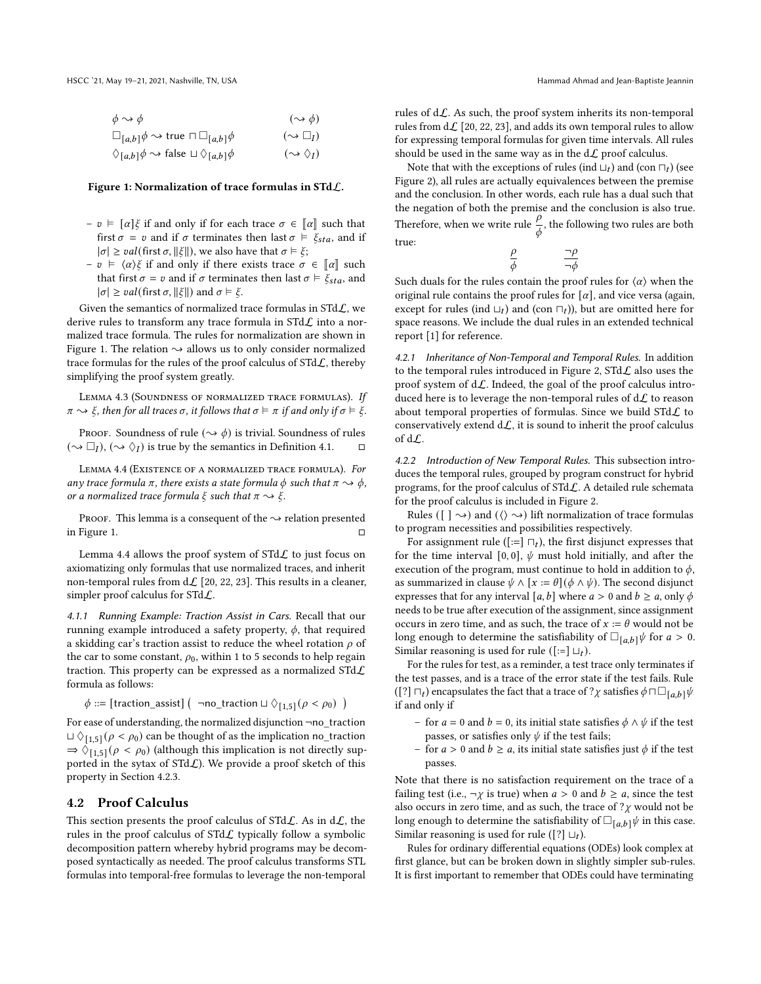<span id="page-5-0"></span>

| $\phi \rightsquigarrow \phi$                                                | $(\rightsquigarrow \phi)$       |
|-----------------------------------------------------------------------------|---------------------------------|
| $\square_{[a,b]} \phi \rightsquigarrow$ true $\square \square_{[a,b]} \phi$ | $(\rightsquigarrow \Box_I)$     |
| $\Diamond_{[a,b]}\phi \leadsto \text{false} \sqcup \Diamond_{[a,b]}\phi$    | $(\rightsquigarrow \Diamond_I)$ |

#### Figure 1: Normalization of trace formulas in STdL.

- $v$  ⊨ [ $\alpha$ ] $\xi$  if and only if for each trace  $\sigma \in [\alpha]$  such that first  $\sigma = v$  and if  $\sigma$  terminates then last  $\sigma \models \xi_{sta}$ , and if  $|\sigma| \ge \text{val}$ (first  $\sigma$ ,  $||\xi||$ ), we also have that  $\sigma \vDash \xi$ ;
- *v* ⊨  $\langle \alpha \rangle \xi$  if and only if there exists trace *σ* ∈  $\lbrack \lbrack \alpha \rbrack$  such that first  $\sigma = v$  and if  $\sigma$  terminates then last  $\sigma \models \xi_{sta}$ , and  $|\sigma| \geq val(\text{first }\sigma, ||\xi||)$  and  $\sigma \vDash \xi$ .

Given the semantics of normalized trace formulas in  $STdL$ , we derive rules to transform any trace formula in  $STdL$  into a normalized trace formula. The rules for normalization are shown in Figure [1.](#page-5-0) The relation  $\rightarrow$  allows us to only consider normalized trace formulas for the rules of the proof calculus of  $STdL$ , thereby simplifying the proof system greatly.

Lemma 4.3 (Soundness of normalized trace formulas). If  ${\pi} \rightarrow {\xi}$ , then for all traces  ${\sigma}$ , it follows that  ${\sigma} \models {\pi}$  if and only if  ${\sigma} \models {\xi}$ .

PROOF. Soundness of rule ( $\leadsto \phi$ ) is trivial. Soundness of rules  $({\sim} \Box_I)$ ,  $({\sim} \Diamond_I)$  is true by the semantics in Definition [4.1.](#page-4-3)  $\Box$ 

<span id="page-5-1"></span>Lemma 4.4 (Existence of a normalized trace formula). For any trace formula  $\pi$ , there exists a state formula  $\phi$  such that  $\pi \rightarrow \phi$ , or a normalized trace formula  $\xi$  such that  $\pi \rightarrow \xi$ .

PROOF. This lemma is a consequent of the  $\rightsquigarrow$  relation presented in Figure [1.](#page-5-0)  $\Box$ 

Lemma [4.4](#page-5-1) allows the proof system of  $STd\mathcal{L}$  to just focus on axiomatizing only formulas that use normalized traces, and inherit non-temporal rules from  $dL$  [\[20,](#page-10-5) [22,](#page-10-10) [23\]](#page-10-11). This results in a cleaner, simpler proof calculus for STdL.

4.1.1 Running Example: Traction Assist in Cars. Recall that our running example introduced a safety property,  $\phi$ , that required a skidding car's traction assist to reduce the wheel rotation  $\rho$  of the car to some constant,  $\rho_0$ , within 1 to 5 seconds to help regain traction. This property can be expressed as a normalized  $STdL$ formula as follows:

 $\phi ::=$  [traction\_assist]  $\left(\begin{array}{c} \neg no\_traction \sqcup \Diamond_{[1,5]} (\rho < \rho_0) \end{array}\right)$ 

For ease of understanding, the normalized disjunction ¬no\_traction  $\Box \Diamond_{[1,5]} (\rho < \rho_0)$  can be thought of as the implication no\_traction  $\Rightarrow$   $\Diamond$ <sub>[1,5]</sub> ( $\rho$  <  $\rho_0$ ) (although this implication is not directly supported in the sytax of  $STdL$ ). We provide a proof sketch of this property in Section [4.2.3.](#page-7-0)

# 4.2 Proof Calculus

This section presents the proof calculus of STd $\mathcal{L}$ . As in d $\mathcal{L}$ , the rules in the proof calculus of  $STdL$  typically follow a symbolic decomposition pattern whereby hybrid programs may be decomposed syntactically as needed. The proof calculus transforms STL formulas into temporal-free formulas to leverage the non-temporal

rules of  $d\mathcal{L}$ . As such, the proof system inherits its non-temporal rules from  $d\mathcal{L}$  [\[20,](#page-10-5) [22,](#page-10-10) [23\]](#page-10-11), and adds its own temporal rules to allow for expressing temporal formulas for given time intervals. All rules should be used in the same way as in the  $d\mathcal{L}$  proof calculus.

Note that with the exceptions of rules (ind  $\Box_t$ ) and (con  $\Box_t$ ) (see Figure 2), all rules are actually equivalences between the premise and the conclusion. In other words, each rule has a dual such that the negation of both the premise and the conclusion is also true. Therefore, when we write rule  $\frac{\rho}{\phi}$ , the following two rules are both true:  $\overline{\rho}$  $\neg \rho$ 

$$
\frac{\rho}{\phi} \qquad \qquad \frac{\neg \rho}{\neg \phi}
$$

Such duals for the rules contain the proof rules for  $\langle \alpha \rangle$  when the original rule contains the proof rules for  $[\alpha]$ , and vice versa (again, except for rules (ind  $\sqcup_t$ ) and (con  $\sqcap_t$ )), but are omitted here for space reasons. We include the dual rules in an extended technical report [\[1\]](#page-10-9) for reference.

4.2.1 Inheritance of Non-Temporal and Temporal Rules. In addition to the temporal rules introduced in Figure 2,  $STd\mathcal{L}$  also uses the proof system of  $d\mathcal{L}$ . Indeed, the goal of the proof calculus introduced here is to leverage the non-temporal rules of  $d\mathcal{L}$  to reason about temporal properties of formulas. Since we build  $STdL$  to conservatively extend  $d\mathcal{L}$ , it is sound to inherit the proof calculus of dL.

4.2.2 Introduction of New Temporal Rules. This subsection introduces the temporal rules, grouped by program construct for hybrid programs, for the proof calculus of STdL. A detailed rule schemata for the proof calculus is included in Figure 2.

Rules ( $\lceil \cdot \rangle$ ) and ( $\langle \rangle \rightarrow$ ) lift normalization of trace formulas to program necessities and possibilities respectively.

For assignment rule ([:=]  $\sqcap_t$ ), the first disjunct expresses that for the time interval [0, 0],  $\psi$  must hold initially, and after the execution of the program, must continue to hold in addition to  $\phi$ , as summarized in clause  $\psi \wedge [x := \theta](\phi \wedge \psi)$ . The second disjunct expresses that for any interval [a, b] where  $a > 0$  and  $b \ge a$ , only  $\phi$ needs to be true after execution of the assignment, since assignment occurs in zero time, and as such, the trace of  $x := \theta$  would not be long enough to determine the satisfiability of  $\square_{[a,b]} \psi$  for  $a > 0$ . Similar reasoning is used for rule ([:=]  $\sqcup_t$ ).

For the rules for test, as a reminder, a test trace only terminates if the test passes, and is a trace of the error state if the test fails. Rule ([?]  $\sqcap_t$ ) encapsulates the fact that a trace of ?χ satisfies  $\phi$   $\sqcap \Box_{[a,b]}$   $\psi$ if and only if

- for  $a = 0$  and  $b = 0$ , its initial state satisfies  $\phi \wedge \psi$  if the test passes, or satisfies only  $\psi$  if the test fails;
- for  $a > 0$  and  $b \ge a$ , its initial state satisfies just  $\phi$  if the test passes.

Note that there is no satisfaction requirement on the trace of a failing test (i.e.,  $\neg \chi$  is true) when  $a > 0$  and  $b \ge a$ , since the test also occurs in zero time, and as such, the trace of  $? \chi$  would not be long enough to determine the satisfiability of  $\square_{[a,b]} \psi$  in this case. Similar reasoning is used for rule ([?]  $\sqcup_t$ ).

Rules for ordinary differential equations (ODEs) look complex at first glance, but can be broken down in slightly simpler sub-rules. It is first important to remember that ODEs could have terminating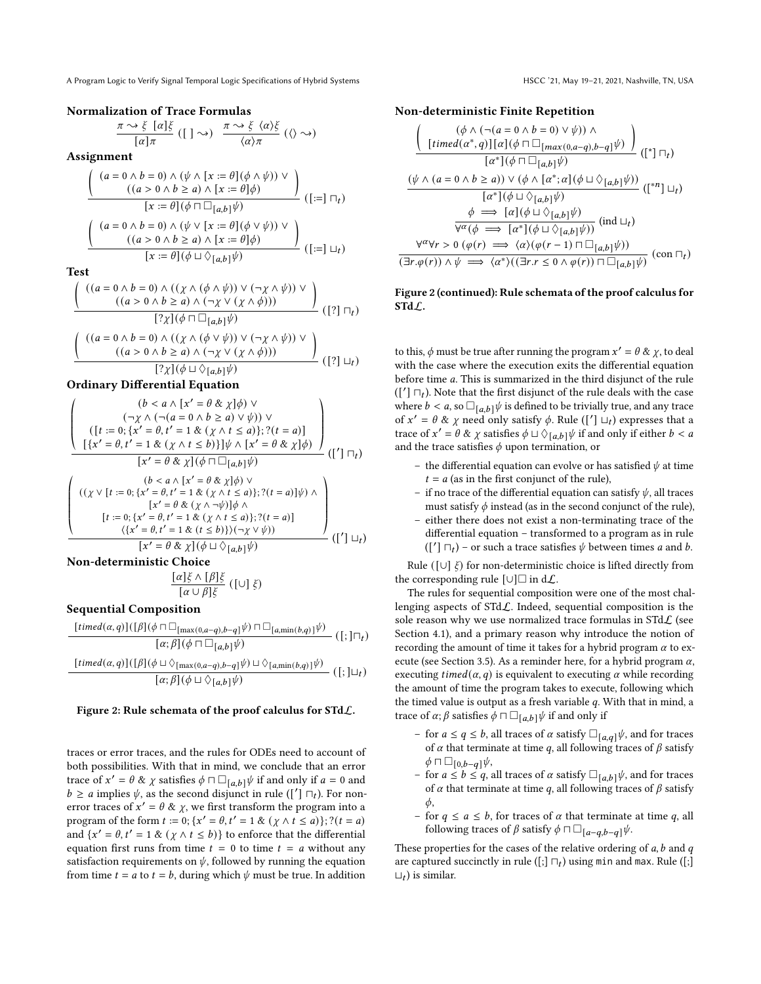### Normalization of Trace Formulas

$$
\frac{\pi \rightsquigarrow \xi \ [\alpha]\xi}{[\alpha]\pi} ([\ ]\rightsquigarrow) \frac{\pi \rightsquigarrow \xi \ \langle \alpha \rangle \xi}{\langle \alpha \rangle \pi} (\langle \rangle \rightsquigarrow)
$$

Assignment

$$
\frac{\left(\begin{array}{c} (a=0 \wedge b=0) \wedge (\psi \wedge [x:=\theta](\phi \wedge \psi)) \vee \\ ((a>0 \wedge b\geq a) \wedge [x:=\theta]\phi) \end{array}\right)}{[x:=\theta](\phi \sqcap \Box_{[a,b]}\psi)} \cdot ([:=]\sqcap_t)
$$
\n
$$
\frac{\left(\begin{array}{c} (a=0 \wedge b=0) \wedge (\psi \vee [x:=\theta](\phi \vee \psi)) \vee \\ ((a>0 \wedge b\geq a) \wedge [x:=\theta](\phi \vee \psi)) \vee \\ \hline [x:=\theta](\phi \sqcup \Diamond_{[a,b]}\psi) \end{array}\right)}{[x:=\theta](\phi \sqcup \Diamond_{[a,b]}\psi)} \cdot ([:=]\sqcup_t)
$$

Test

$$
\frac{\left(\begin{array}{c} ((a = 0 \land b = 0) \land ((\chi \land (\phi \land \psi)) \lor (\neg \chi \land \psi)) \lor \\ ((a > 0 \land b \ge a) \land (\neg \chi \lor (\chi \land \phi))) \end{array}\right)}{[(\gamma](\phi \sqcap \Box_{[a,b]} \psi)} (\Gamma)] \sqcap_t)} \right) (\Gamma) \sqcap_t
$$
\n
$$
\frac{\left(\begin{array}{c} ((a = 0 \land b = 0) \land ((\chi \land (\phi \lor \psi)) \lor (\neg \chi \land \psi)) \lor \\ ((a > 0 \land b \ge a) \land (\neg \chi \lor (\chi \land \phi))) \end{array}\right)}{((\gamma)(\phi \land \phi \land \phi))} (\Gamma) \sqcup_t)
$$

Ordinary Differential Equation

$$
\left(\begin{array}{c} (b < a \wedge [x' = \theta \& \chi]\phi) \vee \\ (\neg \chi \wedge (\neg (a = 0 \wedge b \ge a) \vee \psi)) \vee \\ ([t := 0; \{x' = \theta, t' = 1 \& (\chi \wedge t \le a)\}; ?(t = a)] \\ [\{x' = \theta, t' = 1 \& (\chi \wedge t \le b)\}] \psi \wedge [x' = \theta \& \chi]\phi) \\ \hline [x' = \theta \& \chi](\phi \sqcap \Box_{[a,b]}\psi) \\ (t' = 0; \{x' = \theta, t' = 1 \& (\chi \wedge t \le a)\}; ?(t = a)] \psi) \wedge \\ ([t := 0; \{x' = \theta, t' = 1 \& (\chi \wedge t \le a)\}; ?(t = a)] \\ ([t := 0; \{x' = \theta, t' = 1 \& (\chi \wedge t \le a)\}; ?(t = a)] \\ (\{x' = \theta, t' = 1 \& (\chi \wedge t \le a)\}) \wedge \neg \psi \vee \psi) \vee \\ [x' = \theta \& \chi](\phi \sqcup \Diamond_{[a,b]}\psi) \end{array}\right) (\begin{array}{c} [t'] \sqcup_t) \end{array}
$$

Non-deterministic Choice

$$
\frac{\lbrack \alpha \rbrack \xi \wedge \lbrack \beta \rbrack \xi}{\lbrack \alpha \cup \beta \rbrack \xi} (\lbrack \cup \rbrack \xi)
$$

Sequential Composition

$$
\frac{[timed(\alpha,q)]([\beta](\phi \sqcap \Box_{[\max(0,a-q),b-q]}\psi) \sqcap \Box_{[a,\min(b,q)]}\psi)}{[\alpha;\beta](\phi \sqcap \Box_{[a,b]}\psi)} ([;\] \sqcap_t)
$$

$$
\frac{[timed(\alpha,q)]([\beta](\phi \sqcup \Diamond_{[\max(0,a-q),b-q]}\psi) \sqcup \Diamond_{[a,\min(b,q)]}\psi)}{[\alpha;\beta](\phi \sqcup \Diamond_{[a,b]}\psi)} ([;\] \sqcup_t)
$$

#### Figure 2: Rule schemata of the proof calculus for STdL.

traces or error traces, and the rules for ODEs need to account of both possibilities. With that in mind, we conclude that an error trace of  $x' = \theta \otimes \chi$  satisfies  $\phi \sqcap \Box_{[a,b]} \psi$  if and only if  $a = 0$  and  $b \ge a$  implies  $\psi$ , as the second disjunct in rule ([']  $\sqcap_t$ ). For nonerror traces of  $x' = \theta \& \chi$ , we first transform the program into a program of the form  $t := 0$ ;  $\{x' = \theta, t' = 1 \& (\chi \wedge t \leq a)\}; ?(t = a)$ and  $\{x' = \theta, t' = 1 \& (\chi \wedge t \leq b)\}$  to enforce that the differential equation first runs from time  $t = 0$  to time  $t = a$  without any satisfaction requirements on  $\psi$ , followed by running the equation from time  $t = a$  to  $t = b$ , during which  $\psi$  must be true. In addition

### Non-deterministic Finite Repetition

$$
\frac{\left(\begin{array}{c}(\phi \wedge (\neg(a = 0 \wedge b = 0) \vee \psi)) \wedge \\[1mm] \left[\begin{array}{c} \text{timed}(\alpha^*, q)\right][\alpha](\phi \sqcap \Box_{[\max(0, a-q), b-q]} \psi) \end{array}\right]}{[\alpha^*](\phi \sqcap \Box_{[\alpha, b]} \psi)} (\mathbf{a})
$$
\n
$$
\frac{(\psi \wedge (a = 0 \wedge b \ge a)) \vee (\phi \wedge [\alpha^*, \alpha](\phi \sqcup \Diamond_{[a, b]} \psi))}{[\alpha^*](\phi \sqcup \Diamond_{[a, b]} \psi)} (\mathbf{a})
$$
\n
$$
\phi \implies [\alpha](\phi \sqcup \Diamond_{[a, b]} \psi)
$$
\n
$$
\frac{\phi \implies [\alpha](\phi \sqcup \Diamond_{[a, b]} \psi)}{\forall^{\alpha}(\phi \implies [\alpha^*](\phi \sqcup \Diamond_{[a, b]} \psi))} (\text{ind } \sqcup_t)
$$
\n
$$
\frac{\forall^{\alpha} \forall r > 0 \ (\phi(r) \implies \langle \alpha \rangle (\phi(r-1) \sqcap \Box_{[a, b]} \psi))}{(\exists r. \phi(r)) \wedge \psi \implies \langle \alpha^* \rangle ((\exists r. r \le 0 \wedge \phi(r)) \sqcap \Box_{[a, b]} \psi)} (\text{con } \sqcap_t)
$$

# Figure 2 (continued): Rule schemata of the proof calculus for  $STdL$ .

to this,  $\phi$  must be true after running the program  $x' = \theta \& \chi$ , to deal with the case where the execution exits the differential equation before time *a*. This is summarized in the third disjunct of the rule  $([T] \sqcap_t)$ . Note that the first disjunct of the rule deals with the case where  $b < a$ , so  $\Box_{[a,b]} \psi$  is defined to be trivially true, and any trace of  $x' = \theta$  &  $\chi$  need only satisfy  $\phi$ . Rule ([']  $\Box_t$ ) expresses that a trace of  $x' = \theta \& \chi$  satisfies  $\phi \sqcup \Diamond_{[a,b]} \psi$  if and only if either  $b < a$ and the trace satisfies  $\phi$  upon termination, or

- the differential equation can evolve or has satisfied  $\psi$  at time  $t = a$  (as in the first conjunct of the rule),
- if no trace of the differential equation can satisfy  $\psi$ , all traces must satisfy  $\phi$  instead (as in the second conjunct of the rule),
- either there does not exist a non-terminating trace of the differential equation – transformed to a program as in rule  $(\lceil \cdot \rceil \sqcap_t)$  – or such a trace satisfies  $\psi$  between times a and b.

Rule ( $[\cup]$   $\xi$ ) for non-deterministic choice is lifted directly from the corresponding rule [∪] $\Box$  in d $\mathcal{L}$ .

The rules for sequential composition were one of the most challenging aspects of  $STd\mathcal{L}$ . Indeed, sequential composition is the sole reason why we use normalized trace formulas in  $STd\mathcal{L}$  (see Section [4.1\)](#page-4-4), and a primary reason why introduce the notion of recording the amount of time it takes for a hybrid program  $\alpha$  to ex-ecute (see Section [3.5\)](#page-3-1). As a reminder here, for a hybrid program  $\alpha$ , executing *timed*( $\alpha$ ,  $q$ ) is equivalent to executing  $\alpha$  while recording the amount of time the program takes to execute, following which the timed value is output as a fresh variable  $q$ . With that in mind, a trace of  $\alpha$ ;  $\beta$  satisfies  $\phi \sqcap \Box_{[a,b]} \psi$  if and only if

- for  $a \le q \le b$ , all traces of  $\alpha$  satisfy  $\Box_{[a,q]}\psi$ , and for traces of  $\alpha$  that terminate at time  $q$ , all following traces of  $\beta$  satisfy  $\phi \sqcap \Box_{[0,b-q]}\psi,$
- for  $a \le b \le q$ , all traces of  $\alpha$  satisfy  $\Box_{[a,b]} \psi$ , and for traces of  $\alpha$  that terminate at time  $q$ , all following traces of  $\beta$  satisfy  $\phi$ .
- for  $q \le a \le b$ , for traces of  $\alpha$  that terminate at time q, all following traces of  $\beta$  satisfy  $\phi \sqcap \Box_{[a-q,b-q]} \psi$ .

These properties for the cases of the relative ordering of  $a$ ,  $b$  and  $q$ are captured succinctly in rule ([;]  $\sqcap_t$ ) using min and max. Rule ([;]  $\sqcup_t$ ) is similar.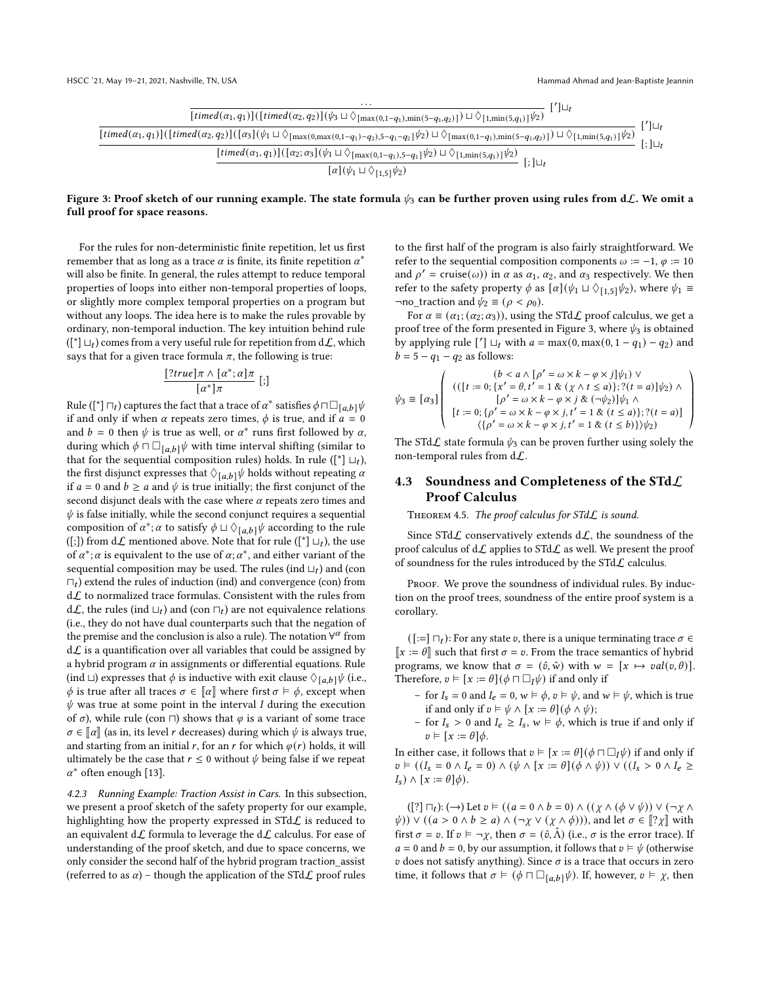<span id="page-7-1"></span>

Figure 3: Proof sketch of our running example. The state formula  $\psi_3$  can be further proven using rules from dL. We omit a full proof for space reasons.

For the rules for non-deterministic finite repetition, let us first remember that as long as a trace  $\alpha$  is finite, its finite repetition  $\alpha^*$ will also be finite. In general, the rules attempt to reduce temporal properties of loops into either non-temporal properties of loops, or slightly more complex temporal properties on a program but without any loops. The idea here is to make the rules provable by ordinary, non-temporal induction. The key intuition behind rule  $(\binom{*}{1} \sqcup_{t})$  comes from a very useful rule for repetition from d $\mathcal{L}$ , which says that for a given trace formula  $\pi$ , the following is true:

$$
\frac{[?true]\pi \wedge [\alpha^*;\alpha]\pi}{[\alpha^*]\pi} [;]
$$

Rule ([\*]  $\sqcap_t$ ) captures the fact that a trace of  $\alpha^*$  satisfies  $\phi \sqcap \Box_{[a,b]} \psi$ if and only if when  $\alpha$  repeats zero times,  $\phi$  is true, and if  $a = 0$ and  $b = 0$  then  $\psi$  is true as well, or  $\alpha^*$  runs first followed by  $\alpha$ , during which  $\phi \sqcap \Box_{[a,b]}\psi$  with time interval shifting (similar to that for the sequential composition rules) holds. In rule ([\*]  $\sqcup_t$ ), the first disjunct expresses that  $\Diamond_{[a,b]} \psi$  holds without repeating  $\alpha$ if  $a = 0$  and  $b \ge a$  and  $\psi$  is true initially; the first conjunct of the second disjunct deals with the case where  $\alpha$  repeats zero times and  $\psi$  is false initially, while the second conjunct requires a sequential composition of  $\alpha^*$ ;  $\alpha$  to satisfy  $\phi \sqcup \Diamond_{[a,b]} \psi$  according to the rule ([;]) from  $d\mathcal{L}$  mentioned above. Note that for rule ([\*]  $\sqcup_t$ ), the use of  $\alpha^*$ :  $\alpha$  is equivalent to the use of  $\alpha$ :  $\alpha^*$ , and either variant of the sequential composition may be used. The rules (ind  $\sqcup_t$ ) and (con  $\sqcap_t$ ) extend the rules of induction (ind) and convergence (con) from  $d\mathcal{L}$  to normalized trace formulas. Consistent with the rules from d $\mathcal{L}$ , the rules (ind  $\sqcup_t$ ) and (con  $\sqcap_t$ ) are not equivalence relations (i.e., they do not have dual counterparts such that the negation of the premise and the conclusion is also a rule). The notation  $\forall^{\alpha}$  from  $d\mathcal{L}$  is a quantification over all variables that could be assigned by a hybrid program  $\alpha$  in assignments or differential equations. Rule (ind ⊔) expresses that  $\phi$  is inductive with exit clause  $\Diamond_{[a,b]} \psi$  (i.e.,  $\phi$  is true after all traces  $\sigma \in \llbracket \alpha \rrbracket$  where first  $\sigma \models \phi$ , except when  $\psi$  was true at some point in the interval I during the execution of  $\sigma$ ), while rule (con  $\Box$ ) shows that  $\varphi$  is a variant of some trace  $\sigma \in \llbracket \alpha \rrbracket$  (as in, its level *r* decreases) during which  $\psi$  is always true, and starting from an initial r, for an r for which  $\varphi(r)$  holds, it will ultimately be the case that  $r \leq 0$  without  $\psi$  being false if we repeat  $\alpha^*$  often enough [\[13\]](#page-10-8).

<span id="page-7-0"></span>4.2.3 Running Example: Traction Assist in Cars. In this subsection, we present a proof sketch of the safety property for our example, highlighting how the property expressed in  $S T dL$  is reduced to an equivalent  $d\mathcal{L}$  formula to leverage the  $d\mathcal{L}$  calculus. For ease of understanding of the proof sketch, and due to space concerns, we only consider the second half of the hybrid program traction\_assist (referred to as  $\alpha$ ) – though the application of the STd $\mathcal{L}$  proof rules

to the first half of the program is also fairly straightforward. We refer to the sequential composition components  $\omega := -1$ ,  $\varphi := 10$ and  $\rho' = \text{cruise}(\omega)$  in  $\alpha$  as  $\alpha_1, \alpha_2$ , and  $\alpha_3$  respectively. We then refer to the safety property  $\phi$  as  $[\alpha](\psi_1 \sqcup \Diamond_{1,5} \psi_2)$ , where  $\psi_1 \equiv$ ¬no\_traction and  $\psi_2$   $\equiv$  ( $\rho$  <  $\rho_0$ ).

For  $\alpha \equiv (\alpha_1; (\alpha_2; \alpha_3))$ , using the STd $\mathcal L$  proof calculus, we get a proof tree of the form presented in Figure [3,](#page-7-1) where  $\psi_3$  is obtained by applying rule  $\begin{bmatrix} 7 \end{bmatrix} \sqcup_t$  with  $a = \max(0, \max(0, 1 - q_1) - q_2)$  and  $b = 5 - q_1 - q_2$  as follows:

$$
\psi_3 \equiv \left[\alpha_3\right] \left( \begin{array}{c} (b < a \wedge [\rho' = \omega \times k - \varphi \times j] \psi_1) \vee \\ ((\left[t := 0; \{x' = \theta, t' = 1 \& \{\chi \wedge t \leq a\}\}; ?(t = a)\right] \psi_2) \wedge \\ [\rho' = \omega \times k - \varphi \times j \& (\neg \psi_2)] \psi_1 \wedge \\ [t := 0; \{\rho' = \omega \times k - \varphi \times j, t' = 1 \& (t \leq a)\}; ?(t = a)] \\ \langle \{\rho' = \omega \times k - \varphi \times j, t' = 1 \& (t \leq b)\} \rangle \psi_2) \end{array} \right)
$$

The STd $\mathcal{L}$  state formula  $\psi_3$  can be proven further using solely the non-temporal rules from  $d\mathcal{L}$ .

# 4.3 Soundness and Completeness of the STd $\mathcal{L}$ Proof Calculus

THEOREM 4.5. The proof calculus for  $STdL$  is sound.

Since STd $\mathcal L$  conservatively extends d $\mathcal L$ , the soundness of the proof calculus of  $d\mathcal{L}$  applies to STd $\mathcal{L}$  as well. We present the proof of soundness for the rules introduced by the  $STdL$  calculus.

PROOF. We prove the soundness of individual rules. By induction on the proof trees, soundness of the entire proof system is a corollary.

 $([:=] \sqcap_t)$ : For any state v, there is a unique terminating trace  $\sigma \in$  $\llbracket x := \theta \rrbracket$  such that first  $\sigma = v$ . From the trace semantics of hybrid programs, we know that  $\sigma = (\hat{v}, \hat{w})$  with  $w = [x \mapsto val(v, \theta)].$ Therefore,  $v \models [x := \theta](\phi \sqcap \Box_I \psi)$  if and only if

- for  $I_s = 0$  and  $I_e = 0$ ,  $w \models \phi$ ,  $v \models \psi$ , and  $w \models \psi$ , which is true if and only if  $v \vDash \psi \wedge [x := \theta](\phi \wedge \psi);$
- for  $I_s > 0$  and  $I_e \geq I_s$ ,  $w \models \phi$ , which is true if and only if  $v \vDash [x := \theta]\phi.$

In either case, it follows that  $v \models [x := \theta](\phi \sqcap \Box_I \psi)$  if and only if  $v \vDash ((I_s = 0 \wedge I_e = 0) \wedge (\psi \wedge [x := \theta](\phi \wedge \psi)) \vee ((I_s > 0 \wedge I_e \ge$  $I_s$ )  $\wedge$   $[x := \theta]\phi$ ).

 $([?] \sqcap_t): (\rightarrow)$  Let  $v \models ((a = 0 \land b = 0) \land ((\chi \land (\phi \lor \psi)) \lor (\neg \chi \land$  $\psi$ )) ∨ ((a > 0 ∧ b ≥ a) ∧ (¬ $\chi$  ∨ ( $\chi$  ∧  $\phi$ ))), and let  $\sigma \in [\![? \chi]\!]$  with first  $\sigma = v$ . If  $v \vDash \neg \chi$ , then  $\sigma = (\hat{v}, \hat{\Lambda})$  (i.e.,  $\sigma$  is the error trace). If  $a = 0$  and  $b = 0$ , by our assumption, it follows that  $v \vDash \psi$  (otherwise  $v$  does not satisfy anything). Since  $\sigma$  is a trace that occurs in zero time, it follows that  $\sigma \models (\phi \sqcap \Box_{\lceil a,b\rceil} \psi)$ . If, however,  $v \models \chi$ , then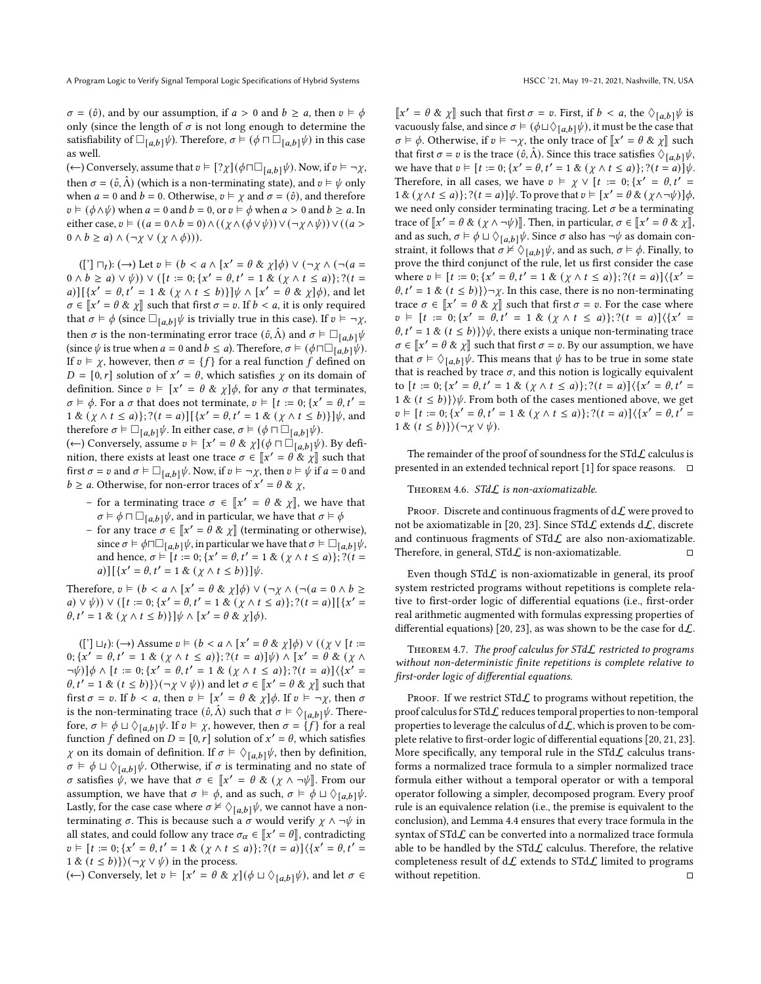$\sigma = (\hat{v})$ , and by our assumption, if  $a > 0$  and  $b \ge a$ , then  $v \vDash \phi$ only (since the length of  $\sigma$  is not long enough to determine the satisfiability of  $\square_{[a,b]}\psi$ ). Therefore,  $\sigma \models (\phi \sqcap \square_{[a,b]}\psi)$  in this case as well.

(←) Conversely, assume that  $v \models [? \chi](\phi \sqcap \Box_{[a,b]} \psi)$ . Now, if  $v \models \neg \chi$ , then  $\sigma = (\hat{v}, \hat{\Lambda})$  (which is a non-terminating state), and  $v \vDash \psi$  only when  $a = 0$  and  $b = 0$ . Otherwise,  $v \vDash \gamma$  and  $\sigma = (\hat{v})$ , and therefore  $v \vDash (\phi \land \psi)$  when  $a = 0$  and  $b = 0$ , or  $v \vDash \phi$  when  $a > 0$  and  $b \ge a$ . In either case,  $v \vDash ((a = 0 \land b = 0) \land ((\chi \land (\phi \lor \psi)) \lor (\neg \chi \land \psi)) \lor ((a > 0) \lor (\neg \chi \land \psi))$  $0 \wedge b \ge a) \wedge (\neg \chi \vee (\chi \wedge \phi))).$ 

 $([') \sqcap_t): (\rightarrow)$  Let  $v \models (b < a \land [x' = \theta \& \chi]\phi) \lor (\neg \chi \land (\neg(a =$  $(0 \wedge b \ge a) \vee \psi$ )  $\vee$  ( $[t := 0; \{x' = \theta, t' = 1 \& (\chi \wedge t \le a)\}; ?(t =$ a)][ $\{x' = \theta, t' = 1 \& (\chi \wedge t \leq b)\}\psi \wedge [x' = \theta \& \chi]\phi$ , and let  $\sigma \in [x' = \theta \& \chi]$  such that first  $\sigma = v$ . If  $b < a$ , it is only required<br>that  $\sigma = b$  (cince  $\Box_{x \to x}$  is trivially true in this case). If  $v = x$ that  $\sigma \models \phi$  (since  $\Box_{[a,b]} \psi$  is trivially true in this case). If  $v \models \neg \chi$ , then  $\sigma$  is the non-terminating error trace  $(\hat{v}, \hat{\Lambda})$  and  $\sigma \models \Box_{[a,b]} \psi$ (since  $\psi$  is true when  $a = 0$  and  $b \le a$ ). Therefore,  $\sigma \models (\phi \sqcap \Box_{[a,b]}\psi)$ . If  $v \models \chi$ , however, then  $\sigma = \{f\}$  for a real function f defined on  $D = [0, r]$  solution of  $x' = \theta$ , which satisfies  $\chi$  on its domain of definition. Since  $v \models [x' = \theta \& \chi] \phi$ , for any  $\sigma$  that terminates,  $\sigma \models \phi$ . For a  $\sigma$  that does not terminate,  $v \models [t := 0; \{x' = \theta, t' = \phi\}]$  $1 \& (\chi \wedge t \leq a)$ ; ? $(t = a)$ ]  $[\{x' = \theta, t' = 1 \& (\chi \wedge t \leq b)\}] \psi$ , and therefore  $\sigma \models \Box_{[a,b]} \psi$ . In either case,  $\sigma \models (\phi \sqcap \Box_{[a,b]} \psi)$ .

(←) Conversely, assume  $v \vDash [x' = \theta \& \chi](\phi \sqcap \Box_{[a,b]} [\psi])$ . By definition, there exists at least one trace  $\sigma \in [x' = \theta \& x]$  such that first  $\sigma = v$  and  $\sigma \models \Box_{[a,b]} \psi$ . Now, if  $v \models \neg \chi$ , then  $v \models \psi$  if  $a = 0$  and  $b \ge a$ . Otherwise, for non-error traces of  $x' = \theta \& \chi$ ,

- for a terminating trace  $\sigma \in [\![x']\!]$  =  $\theta \& \chi[\!]$ , we have that  $\sigma \models \phi \sqcap \Box_{[a,b]} \psi$ , and in particular, we have that  $\sigma \models \phi$
- for any trace  $\sigma \in [\![x' = \theta \& \chi]\!]$  (terminating or otherwise),<br>since  $\sigma \vdash \phi \Box \Box$ , with porticular we have that  $\sigma \vdash \Box$ , with since  $\sigma \models \phi \sqcap \Box_{[a,b]} \psi$ , in particular we have that  $\sigma \models \Box_{[a,b]} \psi$ , and hence,  $\sigma \models [t := 0; \{x' = \theta, t' = 1 \& (\chi \land t \le a)\}; ?(t =$ a)] $[{x' = \theta, t' = 1 & (x \wedge t \le b)}] \psi.$

Therefore,  $v \models (b < a \land [x' = \theta \& \chi]\phi) \lor (\neg \chi \land (\neg(a = 0 \land b \ge$ a) ∨  $\psi$ )) ∨ ([t := 0; {x' =  $\theta$ , t' = 1 & ( $\chi \wedge t \le a$ )}; ?(t = a)][{x' =  $\theta, t' = 1 \& (\chi \wedge t \leq b) \} \psi \wedge [x' = \theta \& \chi] \phi).$ 

 $(['] \sqcup_t): (\rightarrow)$  Assume  $v \models (b < a \land [x' = \theta \& \chi]\phi) \lor ((\chi \lor [t :=$ 0;  $\{x' = \theta, t' = 1 \& (\chi \wedge t \leq a)\}; ?(t = a)|\psi\rangle \wedge [x' = \theta \& (\chi \wedge t')$  $\neg \psi$ )] $\phi \wedge [t := 0; \{x' = \theta, t' = 1 \& (\chi \wedge t \leq a)\}; ? (t = a)] \langle \{x' =$  $\theta, t' = 1 \& (t \le b) \rangle (\neg \chi \vee \psi)$  and let  $\sigma \in [\chi' = \theta \& \chi]$  such that first  $\sigma = v$ . If  $b < a$ , then  $v \vDash [x' = \theta \& \chi] \phi$ . If  $v \vDash \neg \chi$ , then  $\sigma$ is the non-terminating trace  $(\hat{v}, \hat{\Lambda})$  such that  $\sigma \models \Diamond_{[a,b]} \psi$ . Therefore,  $\sigma \models \phi \sqcup \Diamond_{[a,b]} \psi$ . If  $v \models \chi$ , however, then  $\sigma = \{f\}$  for a real function f defined on  $D = [0, r]$  solution of  $x' = \theta$ , which satisfies  $\chi$  on its domain of definition. If  $\sigma \models \Diamond_{[a,b]} \psi$ , then by definition,  $\sigma \models \phi \sqcup \Diamond_{[a,b]} \psi$ . Otherwise, if  $\sigma$  is terminating and no state of *σ* satisfies  $\psi$ , we have that *σ* ∈  $\llbracket x' = \theta \& (χ ∧ \neg \psi \rrbracket$ . From our assumption, we have that  $\sigma \models \phi$ , and as such,  $\sigma \models \phi \sqcup \Diamond_{[a,b]} \psi$ . Lastly, for the case case where  $\sigma \nvDash \Diamond_{[a,b]} \psi$ , we cannot have a nonterminating  $\sigma$ . This is because such a  $\sigma$  would verify  $\chi \wedge \neg \psi$  in all states, and could follow any trace  $\sigma_{\alpha} \in [x' = \theta]$ , contradicting<br> $\sigma_{\alpha} \models [t] = 0, [x' = \theta, t' = \theta, k' = \theta]$ ,  $(0, t \neq \alpha)$ ,  $(0, t \neq \theta)$ ,  $(1, t' = \theta, t' = \theta)$  $v \vDash [t := 0; \{x' = \theta, t' = 1 \& (\chi \wedge t \leq a)\}; ?(t = a)] \langle \{x' = \theta, t' = \theta\} \rangle$ 1 &  $(t \le b)$ } $(\neg \chi \lor \psi)$  in the process.

(←) Conversely, let  $v \models [x' = \theta \& \chi](\phi \sqcup \Diamond_{[a,b]}\psi)$ , and let  $\sigma \in$ 

 $\llbracket x' = \theta \& \chi \rrbracket$  such that first  $\sigma = v$ . First, if  $b < a$ , the  $\Diamond_{[a,b]} \psi$  is<br>vecusively false and since  $\sigma \models (d \cup \Diamond_{[a,b]} \psi)$  it must be the seed that vacuously false, and since  $\sigma \models (\phi \sqcup \Diamond_{[a,b]} \psi)$ , it must be the case that  $\sigma \models \phi$ . Otherwise, if  $v \models \neg \chi$ , the only trace of  $\llbracket x' = \theta \& \chi \rrbracket$  such that first  $\sigma = v$  is the trace  $(\hat{\sigma}, \hat{\delta})$ . Since this trace actions  $\phi$ that first  $\sigma = v$  is the trace  $(\hat{v}, \hat{\Lambda})$ . Since this trace satisfies  $\Diamond_{[a,b]} \psi$ , we have that  $v \vDash [t := 0; \{x' = \theta, t' = 1 \& (\chi \wedge t \leq a)\}; ?(t = a)]\psi$ . Therefore, in all cases, we have  $v \vDash \chi \vee [t := 0; \{x' = \theta, t' = \eta\})$  $1 \& (\chi \wedge t \leq a)$ ;  $?((t = a) \psi$ . To prove that  $v \vDash [x' = \theta \& (\chi \wedge \neg \psi)] \phi$ , we need only consider terminating tracing. Let  $\sigma$  be a terminating trace of  $\llbracket x' = \theta \& (\chi \wedge \neg \psi) \rrbracket$ . Then, in particular,  $\sigma \in \llbracket x' = \theta \& \chi \rrbracket$ and as such,  $\sigma \models \phi \sqcup \Diamond_{[a,b]} \psi$ . Since  $\sigma$  also has  $\neg \psi$  as domain constraint, it follows that  $\sigma \nvDash \Diamond_{[a,b]} \psi$ , and as such,  $\sigma \vDash \phi$ . Finally, to prove the third conjunct of the rule, let us first consider the case where  $v \models [t := 0; \{x' = \theta, t' = 1 \& (\chi \land t \le a)\}; ?(t = a)]\langle \{x' =$  $\theta$ ,  $t' = 1 \& (t \le b) \rangle \rightarrow \chi$ . In this case, there is no non-terminating trace  $\sigma \in [x' = \theta \& x]$  such that first  $\sigma = v$ . For the case where  $v \in [t := 0; \{x' = \theta, t' = 1 \& (\chi \wedge t \leq a)\}; ?(t = a)]\langle \{x' =$  $\theta$ ,  $t' = 1 \& (t \le b) \} \psi$ , there exists a unique non-terminating trace  $\sigma \in [\![x' = \theta \& \chi]\!]$  such that first  $\sigma = v$ . By our assumption, we have that  $\sigma \models \Diamond_{[a,b]} \psi$ . This means that  $\psi$  has to be true in some state that is reached by trace  $\sigma$ , and this notion is logically equivalent to  $[t := 0; \{x' = \theta, t' = 1 \& (\chi \wedge t \le a)\}; ?(t = a)]\langle \{x' = \theta, t' = \theta\}\rangle$ 1 &  $(t \le b)$ }) $\psi$ . From both of the cases mentioned above, we get  $v \vDash [t := 0; \{x' = \theta, t' = 1 \& (\chi \wedge t \leq a)\}; ?(t = a)] (\{x' = \theta, t' = \theta\})$ 1 &  $(t \leq b)$ } $(\neg \chi \vee \psi)$ .

The remainder of the proof of soundness for the STd $\mathcal L$  calculus is presented in an extended technical report [\[1\]](#page-10-9) for space reasons.  $\Box$ 

#### THEOREM 4.6. STdL is non-axiomatizable.

PROOF. Discrete and continuous fragments of  $d\mathcal{L}$  were proved to not be axiomatizable in [\[20,](#page-10-5) [23\]](#page-10-11). Since  $STd\mathcal{L}$  extends  $d\mathcal{L}$ , discrete and continuous fragments of  $STdL$  are also non-axiomatizable. Therefore, in general,  $STd\mathcal{L}$  is non-axiomatizable.  $\square$ 

Even though STd $L$  is non-axiomatizable in general, its proof system restricted programs without repetitions is complete relative to first-order logic of differential equations (i.e., first-order real arithmetic augmented with formulas expressing properties of differential equations) [\[20,](#page-10-5) [23\]](#page-10-11), as was shown to be the case for  $d\mathcal{L}$ .

THEOREM 4.7. The proof calculus for  $STdL$  restricted to programs without non-deterministic finite repetitions is complete relative to first-order logic of differential equations.

PROOF. If we restrict STd $\mathcal L$  to programs without repetition, the proof calculus for  $STd\mathcal{L}$  reduces temporal properties to non-temporal properties to leverage the calculus of  $d\mathcal{L}$ , which is proven to be complete relative to first-order logic of differential equations [\[20,](#page-10-5) [21,](#page-10-6) [23\]](#page-10-11). More specifically, any temporal rule in the STd $\mathcal L$  calculus transforms a normalized trace formula to a simpler normalized trace formula either without a temporal operator or with a temporal operator following a simpler, decomposed program. Every proof rule is an equivalence relation (i.e., the premise is equivalent to the conclusion), and Lemma [4.4](#page-5-1) ensures that every trace formula in the syntax of STd $\mathcal L$  can be converted into a normalized trace formula able to be handled by the STd $\mathcal L$  calculus. Therefore, the relative completeness result of  $d\mathcal{L}$  extends to STd $\mathcal{L}$  limited to programs without repetition. □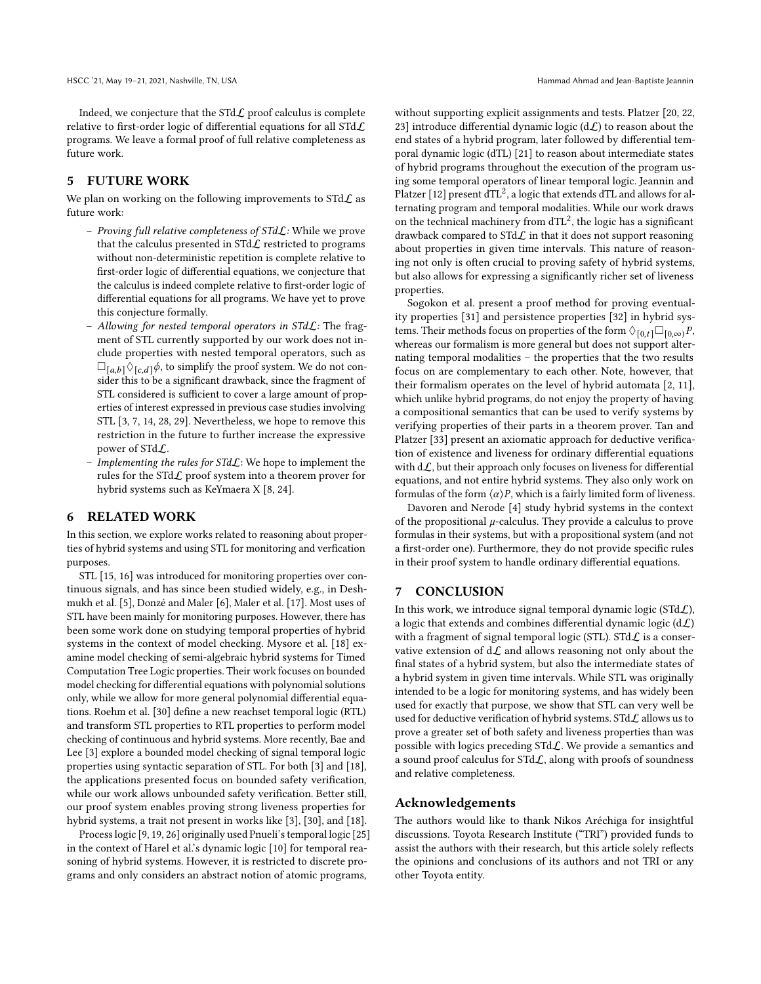Indeed, we conjecture that the  $STdL$  proof calculus is complete relative to first-order logic of differential equations for all STdL programs. We leave a formal proof of full relative completeness as future work.

# <span id="page-9-0"></span>5 FUTURE WORK

We plan on working on the following improvements to  $STdL$  as future work:

- Proving full relative completeness of STdL: While we prove that the calculus presented in  $STdL$  restricted to programs without non-deterministic repetition is complete relative to first-order logic of differential equations, we conjecture that the calculus is indeed complete relative to first-order logic of differential equations for all programs. We have yet to prove this conjecture formally.
- Allowing for nested temporal operators in  $STdL$ : The fragment of STL currently supported by our work does not include properties with nested temporal operators, such as  $\square_{[a,b]}\lozenge_{[c,d]}\phi$ , to simplify the proof system. We do not consider this to be a significant drawback, since the fragment of STL considered is sufficient to cover a large amount of properties of interest expressed in previous case studies involving STL [\[3,](#page-10-12) [7,](#page-10-13) [14,](#page-10-14) [28,](#page-10-15) [29\]](#page-10-16). Nevertheless, we hope to remove this restriction in the future to further increase the expressive power of STdL.
- Implementing the rules for  $STd\mathcal{L}$ : We hope to implement the rules for the STd $\mathcal{L}$  proof system into a theorem prover for hybrid systems such as KeYmaera X [\[8,](#page-10-17) [24\]](#page-10-18).

# <span id="page-9-1"></span>6 RELATED WORK

In this section, we explore works related to reasoning about properties of hybrid systems and using STL for monitoring and verfication purposes.

STL [\[15,](#page-10-2) [16\]](#page-10-3) was introduced for monitoring properties over continuous signals, and has since been studied widely, e.g., in Deshmukh et al. [\[5\]](#page-10-19), Donzé and Maler [\[6\]](#page-10-20), Maler et al. [\[17\]](#page-10-21). Most uses of STL have been mainly for monitoring purposes. However, there has been some work done on studying temporal properties of hybrid systems in the context of model checking. Mysore et al. [\[18\]](#page-10-22) examine model checking of semi-algebraic hybrid systems for Timed Computation Tree Logic properties. Their work focuses on bounded model checking for differential equations with polynomial solutions only, while we allow for more general polynomial differential equations. Roehm et al. [\[30\]](#page-10-23) define a new reachset temporal logic (RTL) and transform STL properties to RTL properties to perform model checking of continuous and hybrid systems. More recently, Bae and Lee [\[3\]](#page-10-12) explore a bounded model checking of signal temporal logic properties using syntactic separation of STL. For both [\[3\]](#page-10-12) and [\[18\]](#page-10-22), the applications presented focus on bounded safety verification, while our work allows unbounded safety verification. Better still, our proof system enables proving strong liveness properties for hybrid systems, a trait not present in works like [\[3\]](#page-10-12), [\[30\]](#page-10-23), and [\[18\]](#page-10-22).

Process logic [\[9,](#page-10-24) [19,](#page-10-25) [26\]](#page-10-26) originally used Pnueli's temporal logic [\[25\]](#page-10-27) in the context of Harel et al.'s dynamic logic [\[10\]](#page-10-4) for temporal reasoning of hybrid systems. However, it is restricted to discrete programs and only considers an abstract notion of atomic programs,

without supporting explicit assignments and tests. Platzer [\[20,](#page-10-5) [22,](#page-10-10) [23\]](#page-10-11) introduce differential dynamic logic ( $d\mathcal{L}$ ) to reason about the end states of a hybrid program, later followed by differential temporal dynamic logic (dTL) [\[21\]](#page-10-6) to reason about intermediate states of hybrid programs throughout the execution of the program using some temporal operators of linear temporal logic. Jeannin and Platzer [\[12\]](#page-10-7) present  $dTL^2$ , a logic that extends dTL and allows for alternating program and temporal modalities. While our work draws on the technical machinery from  $dTL^2$ , the logic has a significant drawback compared to STd $\mathcal{L}$  in that it does not support reasoning about properties in given time intervals. This nature of reasoning not only is often crucial to proving safety of hybrid systems, but also allows for expressing a significantly richer set of liveness properties.

Sogokon et al. present a proof method for proving eventuality properties [\[31\]](#page-10-28) and persistence properties [\[32\]](#page-10-29) in hybrid systems. Their methods focus on properties of the form  $\Diamond_{[0,t]} \Box_{[0,\infty)} P$ , whereas our formalism is more general but does not support alternating temporal modalities – the properties that the two results focus on are complementary to each other. Note, however, that their formalism operates on the level of hybrid automata [\[2,](#page-10-30) [11\]](#page-10-31), which unlike hybrid programs, do not enjoy the property of having a compositional semantics that can be used to verify systems by verifying properties of their parts in a theorem prover. Tan and Platzer [\[33\]](#page-10-32) present an axiomatic approach for deductive verification of existence and liveness for ordinary differential equations with  $d\mathcal{L}$ , but their approach only focuses on liveness for differential equations, and not entire hybrid systems. They also only work on formulas of the form  $\langle \alpha \rangle P$ , which is a fairly limited form of liveness.

Davoren and Nerode [\[4\]](#page-10-33) study hybrid systems in the context of the propositional  $\mu$ -calculus. They provide a calculus to prove formulas in their systems, but with a propositional system (and not a first-order one). Furthermore, they do not provide specific rules in their proof system to handle ordinary differential equations.

# <span id="page-9-2"></span>7 CONCLUSION

In this work, we introduce signal temporal dynamic logic (STd $\mathcal{L}$ ), a logic that extends and combines differential dynamic logic  $(d\mathcal{L})$ with a fragment of signal temporal logic (STL). STd $\mathcal L$  is a conservative extension of  $d\mathcal{L}$  and allows reasoning not only about the final states of a hybrid system, but also the intermediate states of a hybrid system in given time intervals. While STL was originally intended to be a logic for monitoring systems, and has widely been used for exactly that purpose, we show that STL can very well be used for deductive verification of hybrid systems. STd $\mathcal L$  allows us to prove a greater set of both safety and liveness properties than was possible with logics preceding STdL. We provide a semantics and a sound proof calculus for  $STdL$ , along with proofs of soundness and relative completeness.

### Acknowledgements

The authors would like to thank Nikos Aréchiga for insightful discussions. Toyota Research Institute ("TRI") provided funds to assist the authors with their research, but this article solely reflects the opinions and conclusions of its authors and not TRI or any other Toyota entity.